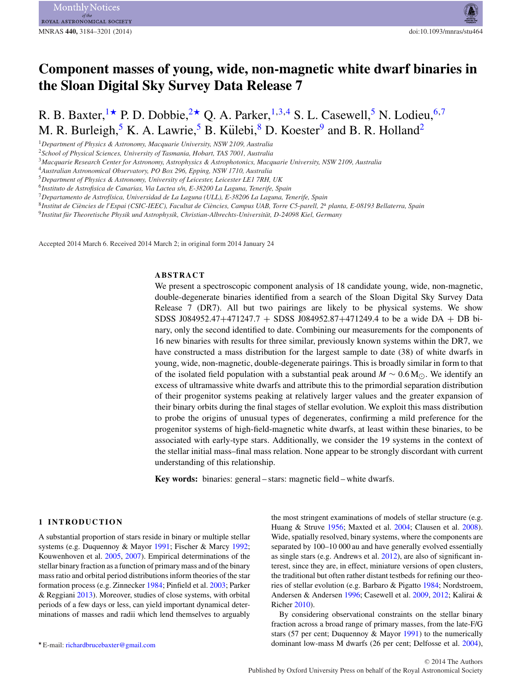# **Component masses of young, wide, non-magnetic white dwarf binaries in the Sloan Digital Sky Survey Data Release 7**

R. B. Baxter, <sup>[1](#page-0-0)\*</sup> P. D. Dobbie, <sup>2\*</sup> O. A. Parker, <sup>[1,](#page-0-0)[3,](#page-0-3)[4](#page-0-4)</sup> S. L. Casewell, <sup>[5](#page-0-5)</sup> N. Lodieu, <sup>[6](#page-0-6)[,7](#page-0-7)</sup> M. R. Burleigh,  $5 K. A. Lawrie, \frac{5}{3} B. Külebi, \frac{8}{3} D. Koester, \frac{9}{3} and B. R. Holland, \frac{2}{3}$  $5 K. A. Lawrie, \frac{5}{3} B. Külebi, \frac{8}{3} D. Koester, \frac{9}{3} and B. R. Holland, \frac{2}{3}$  $5 K. A. Lawrie, \frac{5}{3} B. Külebi, \frac{8}{3} D. Koester, \frac{9}{3} and B. R. Holland, \frac{2}{3}$  $5 K. A. Lawrie, \frac{5}{3} B. Külebi, \frac{8}{3} D. Koester, \frac{9}{3} and B. R. Holland, \frac{2}{3}$ 

<span id="page-0-0"></span><sup>1</sup>*Department of Physics & Astronomy, Macquarie University, NSW 2109, Australia*

<span id="page-0-3"></span><sup>3</sup>*Macquarie Research Center for Astronomy, Astrophysics & Astrophotonics, Macquarie University, NSW 2109, Australia*

<span id="page-0-4"></span><sup>4</sup>*Australian Astronomical Observatory, PO Box 296, Epping, NSW 1710, Australia*

<span id="page-0-7"></span><sup>7</sup>*Departamento de Astrof´ısica, Universidad de La Laguna (ULL), E-38206 La Laguna, Tenerife, Spain*

<span id="page-0-9"></span><sup>9</sup>*Institut fur Theoretische Physik und Astrophysik, Christian-Albrechts-Universit ¨ at, D-24098 Kiel, Germany ¨*

Accepted 2014 March 6. Received 2014 March 2; in original form 2014 January 24

# **ABSTRACT**

We present a spectroscopic component analysis of 18 candidate young, wide, non-magnetic, double-degenerate binaries identified from a search of the Sloan Digital Sky Survey Data Release 7 (DR7). All but two pairings are likely to be physical systems. We show SDSS J084952.47+471247.7 + SDSS J084952.87+471249.4 to be a wide DA + DB binary, only the second identified to date. Combining our measurements for the components of 16 new binaries with results for three similar, previously known systems within the DR7, we have constructed a mass distribution for the largest sample to date (38) of white dwarfs in young, wide, non-magnetic, double-degenerate pairings. This is broadly similar in form to that of the isolated field population with a substantial peak around  $M \sim 0.6 M_{\odot}$ . We identify an excess of ultramassive white dwarfs and attribute this to the primordial separation distribution of their progenitor systems peaking at relatively larger values and the greater expansion of their binary orbits during the final stages of stellar evolution. We exploit this mass distribution to probe the origins of unusual types of degenerates, confirming a mild preference for the progenitor systems of high-field-magnetic white dwarfs, at least within these binaries, to be associated with early-type stars. Additionally, we consider the 19 systems in the context of the stellar initial mass–final mass relation. None appear to be strongly discordant with current understanding of this relationship.

**Key words:** binaries: general – stars: magnetic field – white dwarfs.

#### **1 INTRODUCTION**

A substantial proportion of stars reside in binary or multiple stellar systems (e.g. Duquennoy & Mayor [1991;](#page-16-0) Fischer & Marcy [1992;](#page-16-1) Kouwenhoven et al. [2005,](#page-17-0) [2007\)](#page-17-1). Empirical determinations of the stellar binary fraction as a function of primary mass and of the binary mass ratio and orbital period distributions inform theories of the star formation process (e.g. Zinnecker [1984;](#page-17-2) Pinfield et al. [2003;](#page-17-3) Parker & Reggiani [2013\)](#page-17-4). Moreover, studies of close systems, with orbital periods of a few days or less, can yield important dynamical determinations of masses and radii which lend themselves to arguably

the most stringent examinations of models of stellar structure (e.g. Huang & Struve [1956;](#page-17-5) Maxted et al. [2004;](#page-17-6) Clausen et al. [2008\)](#page-16-2). Wide, spatially resolved, binary systems, where the components are separated by 100–10 000 au and have generally evolved essentially as single stars (e.g. Andrews et al. [2012\)](#page-16-3), are also of significant interest, since they are, in effect, miniature versions of open clusters, the traditional but often rather distant testbeds for refining our theories of stellar evolution (e.g. Barbaro & Pigatto [1984;](#page-16-4) Nordstroem, Andersen & Andersen [1996;](#page-17-7) Casewell et al. [2009,](#page-16-5) [2012;](#page-16-6) Kalirai & Richer [2010\)](#page-17-8).

By considering observational constraints on the stellar binary fraction across a broad range of primary masses, from the late-F/G stars (57 per cent; Duquennoy & Mayor [1991\)](#page-16-0) to the numerically dominant low-mass M dwarfs (26 per cent; Delfosse et al. [2004\)](#page-16-7),

<span id="page-0-2"></span><sup>2</sup>*School of Physical Sciences, University of Tasmania, Hobart, TAS 7001, Australia*

<span id="page-0-5"></span><sup>5</sup>*Department of Physics & Astronomy, University of Leicester, Leicester LE1 7RH, UK*

<span id="page-0-6"></span><sup>6</sup>*Instituto de Astrofisica de Canarias, Via Lactea s/n, E-38200 La Laguna, Tenerife, Spain*

<span id="page-0-8"></span><sup>8</sup>*Institut de Ciencies de l `* - *Espai (CSIC-IEEC), Facultat de Ciencies, Campus UAB, Torre C5-parell, 2 `* <sup>a</sup> *planta, E-08193 Bellaterra, Spain*

<span id="page-0-1"></span><sup>-</sup> E-mail: [richardbrucebaxter@gmail.com](mailto:richardbrucebaxter@gmail.com)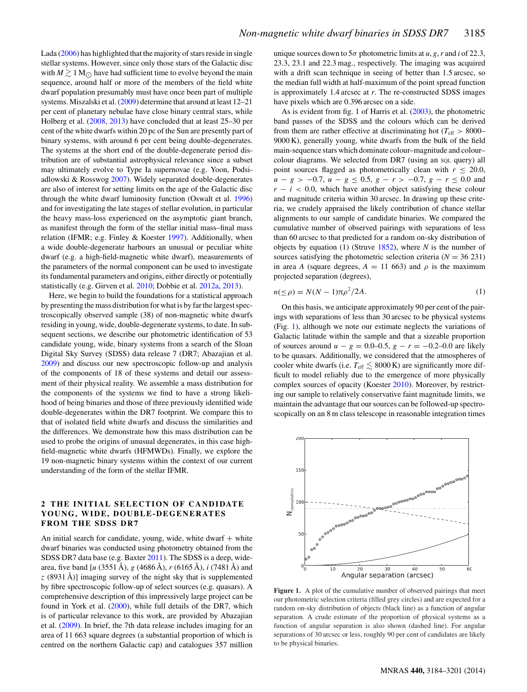Lada [\(2006\)](#page-17-9) has highlighted that the majority of stars reside in single stellar systems. However, since only those stars of the Galactic disc with  $M \gtrsim 1 \text{ M}_{\odot}$  have had sufficient time to evolve beyond the main sequence, around half or more of the members of the field white dwarf population presumably must have once been part of multiple systems. Miszalski et al. [\(2009\)](#page-17-10) determine that around at least 12–21 per cent of planetary nebulae have close binary central stars, while Holberg et al. [\(2008,](#page-17-11) [2013\)](#page-17-12) have concluded that at least 25–30 per cent of the white dwarfs within 20 pc of the Sun are presently part of binary systems, with around 6 per cent being double-degenerates. The systems at the short end of the double-degenerate period distribution are of substantial astrophysical relevance since a subset may ultimately evolve to Type Ia supernovae (e.g. Yoon, Podsiadlowski & Rosswog [2007\)](#page-17-13). Widely separated double-degenerates are also of interest for setting limits on the age of the Galactic disc through the white dwarf luminosity function (Oswalt et al. [1996\)](#page-17-14) and for investigating the late stages of stellar evolution, in particular the heavy mass-loss experienced on the asymptotic giant branch, as manifest through the form of the stellar initial mass–final mass relation (IFMR; e.g. Finley & Koester [1997\)](#page-16-8). Additionally, when a wide double-degenerate harbours an unusual or peculiar white dwarf (e.g. a high-field-magnetic white dwarf), measurements of the parameters of the normal component can be used to investigate its fundamental parameters and origins, either directly or potentially statistically (e.g. Girven et al. [2010;](#page-17-15) Dobbie et al. [2012a,](#page-16-9) [2013\)](#page-16-10).

Here, we begin to build the foundations for a statistical approach by presenting the mass distribution for what is by far the largest spectroscopically observed sample (38) of non-magnetic white dwarfs residing in young, wide, double-degenerate systems, to date. In subsequent sections, we describe our photometric identification of 53 candidate young, wide, binary systems from a search of the Sloan Digital Sky Survey (SDSS) data release 7 (DR7; Abazajian et al. [2009\)](#page-16-11) and discuss our new spectroscopic follow-up and analysis of the components of 18 of these systems and detail our assessment of their physical reality. We assemble a mass distribution for the components of the systems we find to have a strong likelihood of being binaries and those of three previously identified wide double-degenerates within the DR7 footprint. We compare this to that of isolated field white dwarfs and discuss the similarities and the differences. We demonstrate how this mass distribution can be used to probe the origins of unusual degenerates, in this case highfield-magnetic white dwarfs (HFMWDs). Finally, we explore the 19 non-magnetic binary systems within the context of our current understanding of the form of the stellar IFMR.

#### **2 THE INITIAL SELECTION OF CANDIDATE YOUNG, WIDE, DOUBLE -DEGENERATES FROM THE SDSS DR7**

An initial search for candidate, young, wide, white dwarf  $+$  white dwarf binaries was conducted using photometry obtained from the SDSS DR7 data base (e.g. Baxter [2011\)](#page-16-12). The SDSS is a deep, widearea, five band [*u* (3551 Å), *g* (4686 Å), *r* (6165 Å), *i* (7481 Å) and z (8931 Å)] imaging survey of the night sky that is supplemented by fibre spectroscopic follow-up of select sources (e.g. quasars). A comprehensive description of this impressively large project can be found in York et al. [\(2000\)](#page-17-16), while full details of the DR7, which is of particular relevance to this work, are provided by Abazajian et al. [\(2009\)](#page-16-11). In brief, the 7th data release includes imaging for an area of 11 663 square degrees (a substantial proportion of which is centred on the northern Galactic cap) and catalogues 357 million

unique sources down to  $5\sigma$  photometric limits at *u*, *g*, *r* and *i* of 22.3, 23.3, 23.1 and 22.3 mag., respectively. The imaging was acquired with a drift scan technique in seeing of better than 1.5 arcsec, so the median full width at half-maximum of the point spread function is approximately 1.4 arcsec at *r*. The re-constructed SDSS images have pixels which are 0.396 arcsec on a side.

As is evident from fig. 1 of Harris et al. [\(2003\)](#page-17-17), the photometric band passes of the SDSS and the colours which can be derived from them are rather effective at discriminating hot ( $T_{\text{eff}} > 8000-$ 9000 K), generally young, white dwarfs from the bulk of the field main-sequence stars which dominate colour–magnitude and colour– colour diagrams. We selected from DR7 (using an SQL query) all point sources flagged as photometrically clean with  $r \leq 20.0$ , *u* − *g* > −0.7, *u* − *g* ≤ 0.5, *g* − *r* > −0.7, *g* − *r* ≤ 0.0 and  $r - i < 0.0$ , which have another object satisfying these colour and magnitude criteria within 30 arcsec. In drawing up these criteria, we crudely appraised the likely contribution of chance stellar alignments to our sample of candidate binaries. We compared the cumulative number of observed pairings with separations of less than 60 arcsec to that predicted for a random on-sky distribution of objects by equation (1) (Struve [1852\)](#page-17-18), where *N* is the number of sources satisfying the photometric selection criteria ( $N = 36231$ ) in area *A* (square degrees,  $A = 11,663$ ) and  $\rho$  is the maximum projected separation (degrees[\),](#page-2-0)

$$
n(\leq \rho) = N(N-1)\pi\rho^2/2A. \tag{1}
$$

On this basis, we anticipate approximately 90 per cent of the pairings with separations of less than 30 arcsec to be physical systems (Fig. [1\)](#page-1-0), although we note our estimate neglects the variations of Galactic latitude within the sample and that a sizeable proportion of sources around *u* − *g* = 0.0–0.5, *g* − *r* = −0.2–0.0 are likely to be quasars. Additionally, we considered that the atmospheres of cooler white dwarfs (i.e.  $T_{\text{eff}} \lesssim 8000 \text{ K}$ ) are significantly more difficult to model reliably due to the emergence of more physically complex sources of opacity (Koester [2010\)](#page-17-19). Moreover, by restricting our sample to relatively conservative faint magnitude limits, we maintain the advantage that our sources can be followed-up spectroscopically on an 8 m class telescope in reasonable integration times

<span id="page-1-0"></span>

**Figure 1.** A plot of the cumulative number of observed pairings that meet our photometric selection criteria (filled grey circles) and are expected for a random on-sky distribution of objects (black line) as a function of angular separation. A crude estimate of the proportion of physical systems as a function of angular separation is also shown (dashed line). For angular separations of 30 arcsec or less, roughly 90 per cent of candidates are likely to be physical binaries.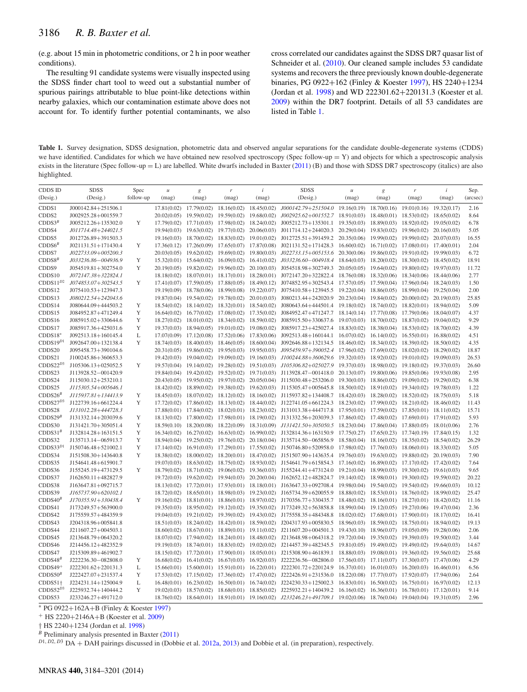(e.g. about 15 min in photometric conditions, or 2 h in poor weather conditions).

The resulting 91 candidate systems were visually inspected using the SDSS finder chart tool to weed out a substantial number of spurious pairings attributable to blue point-like detections within nearby galaxies, which our contamination estimate above does not account for. To identify further potential contaminants, we also cross correlated our candidates against the SDSS DR7 quasar list of Schneider et al. [\(2010\)](#page-17-20). Our cleaned sample includes 53 candidate systems and recovers the three previously known double-degenerate binaries, PG 0922+162 (Finley & Koester [1997\)](#page-16-8), HS 2240+1234 (Jordan et al. [1998\)](#page-17-21) and WD 222301.62+220131.3 (Koester et al. [2009\)](#page-17-22) within the DR7 footprint. Details of all 53 candidates are listed in Table [1.](#page-2-0)

<span id="page-2-0"></span>Table 1. Survey designation, SDSS designation, photometric data and observed angular separations for the candidate double-degenerate systems (CDDS) we have identified. Candidates for which we have obtained new resolved spectroscopy (Spec follow-up = Y) and objects for which a spectroscopic analysis exists in the literature (Spec follow-up = L) are labelled. White dwarfs included in Baxter [\(2011\)](#page-16-12) (B) and those with SDSS DR7 spectroscopy (italics) are also highlighted.

| <b>CDDS ID</b>      | <b>SDSS</b>           | Spec      | $\mathcal{U}% _{k}(t)\equiv\mathcal{U}_{k}(t)\equiv\mathcal{U}_{k}(t)$ | $\boldsymbol{g}$ | r                       | i                           | <b>SDSS</b>                                 | $\mathcal U$ | $\boldsymbol{g}$ | $\boldsymbol{r}$            | i           | Sep.     |
|---------------------|-----------------------|-----------|------------------------------------------------------------------------|------------------|-------------------------|-----------------------------|---------------------------------------------|--------------|------------------|-----------------------------|-------------|----------|
| (Desig.)            | (Desig.)              | follow-up | (mag)                                                                  | (mag)            | (mag)                   | (mag)                       | (Desig.)                                    | (mag)        | (mag)            | (mag)                       | (mag)       | (arcsec) |
| CDDS1               | J000142.84+251506.1   |           | 17.81(0.02)                                                            | 17.79(0.02)      | 18.16(0.02)             | 18.45(0.02)                 | J000142.79+251504.0                         | 19.16(0.19)  | 18.70(0.16)      | 19.01(0.16)                 | 19.32(0.17) | 2.16     |
| CDDS2               | J002925.28+001559.7   |           | 20.02(0.05)                                                            | 19.59(0.02)      | 19.59(0.02)             | 19.68(0.02)                 | J002925.62+001552.7                         | 18.91(0.03)  | 18.48(0.01)      | 18.53(0.02)                 | 18.65(0.02) | 8.64     |
| $CDDS3^B$           | J005212.26+135302.0   | Y         | 17.79(0.02)                                                            | 17.71(0.03)      | 17.98(0.02)             | 18.24(0.02)                 | J005212.73+135301.1                         | 19.35(0.03)  | 18.89(0.03)      | 18.92(0.02)                 | 19.05(0.02) | 6.78     |
| CDDS4               | J011714.48+244021.5   |           | 19.94(0.03)                                                            | 19.63(0.02)      | 19.77(0.02)             | 20.06(0.03)                 | J011714.12+244020.3                         | 20.29(0.04)  | 19.83(0.02)      | 19.96(0.02)                 | 20.16(0.03) | 5.05     |
| CDDS5               | J012726.89+391503.3   |           | 19.16(0.03)                                                            | 18.70(0.02)      | 18.83(0.02)             | 19.01(0.02)                 | J012725.51+391459.2                         | 20.35(0.06)  | 19.99(0.02)      | 19.99(0.02)                 | 20.07(0.03) | 16.55    |
| CDDS6 <sup>B</sup>  | $J021131.51+171430.4$ | Y         | 17.36(0.12)                                                            | 17.26(0.09)      | 17.65(0.07)             | 17.87(0.08)                 | J021131.52+171428.3                         | 16.60(0.02)  | 16.71(0.02)      | 17.08(0.01)                 | 17.40(0.01) | 2.04     |
| CDDS7               | J022733.09+005200.3   |           | 20.03(0.05)                                                            | 19.62(0.02)      | 19.69(0.02)             | 19.80(0.03)                 | J022733.15+005153.6                         | 20.30(0.06)  | 19.86(0.02)      | 19.91(0.02)                 | 19.99(0.03) | 6.72     |
| $CDDSS^B$           | J033236.86-004936.9   | Y         | 15.32(0.01)                                                            | 15.64(0.02)      | 16.09(0.02)             | 16.41(0.02)                 | J033236.60-004918.4                         | 18.64(0.03)  | 18.20(0.02)      | 18.30(0.02)                 | 18.45(0.02) | 18.91    |
| CDDS9               | J054519.81+302754.0   | Y         | 20.19(0.05)                                                            | 19.82(0.02)      | 19.96(0.02)             | 20.10(0.03)                 | J054518.98+302749.3                         | 20.05(0.05)  | 19.64(0.02)      | 19.80(0.02)                 | 19.97(0.03) | 11.72    |
| CDDS10              | J072147.38+322824.1   |           | 18.18(0.02)                                                            | 18.07(0.01)      | 18.17(0.01)             | 18.28(0.01)                 | J072147.20+322822.4                         | 18.76(0.08)  | 18.32(0.06)      | 18.34(0.06)                 | 18.44(0.06) | 2.77     |
| $CDDS11^{D2}$       | J074853.07+302543.5   | Y         | 17.41(0.07)                                                            | 17.59(0.05)      | 17.88(0.05)             | 18.49(0.12)                 | J074852.95+302543.4                         | 17.57(0.05)  | 17.59(0.04)      | 17.96(0.04)                 | 18.24(0.03) | 1.50     |
| CDDS12              | J075410.53+123947.3   |           | 19.19(0.09)                                                            | 18.78(0.06)      | 18.99(0.08)             | 19.22(0.07)                 | J075410.58+123945.5                         | 19.22(0.04)  | 18.86(0.05)      | 18.99(0.04)                 | 19.25(0.04) | 2.00     |
| CDDS13              | J080212.54+242043.6   |           | 19.87(0.04)                                                            | 19.54(0.02)      | 19.78(0.02)             | 20.01(0.03)                 | J080213.44+242020.9                         | 20.23(0.04)  | 19.84(0.02)      | 20.00(0.02)                 | 20.19(0.03) | 25.85    |
| CDDS14              | J080644.09+444503.2   | Y         | 18.54(0.02)                                                            | 18.14(0.02)      | 18.32(0.01)             | 18.54(0.02)                 | J080643.64+444501.4                         | 19.18(0.02)  | 18.74(0.02)      | 18.82(0.01)                 | 18.94(0.02) | 5.09     |
| CDDS15              | J084952.87+471249.4   | Y         | 16.64(0.02)                                                            | 16.77(0.02)      | 17.08(0.02)             | 17.35(0.02)                 | J084952.47+471247.7                         | 18.14(0.14)  | 17.77(0.08)      | 17.79(0.06)                 | 18.04(0.07) | 4.37     |
| CDDS16              | J085915.02+330644.6   | Y         | 18.27(0.02)                                                            | 18.01(0.02)      | 18.34(0.02)             | 18.59(0.02)                 | J085915.50+330637.6                         | 19.07(0.03)  | 18.70(0.02)      | 18.87(0.02)                 | 19.04(0.02) | 9.29     |
| CDDS17              | J085917.36+425031.6   | Y         | 19.37(0.03)                                                            | 18.94(0.05)      | 19.01(0.02)             | 19.08(0.02)                 | J085917.23+425027.4                         | 18.83(0.02)  | 18.38(0.04)      | 18.53(0.02)                 | 18.70(0.02) | 4.39     |
| CDDS18*             | J092513.18+160145.4   | L         | 17.07(0.09)                                                            | 17.12(0.08)      | 17.52(0.06)             | 17.83(0.06)                 | J092513.48+160144.1                         | 16.07(0.02)  | 16.14(0.02)      | 16.55(0.01)                 | 16.88(0.02) | 4.51     |
| $CDDS19^{D1}$       | J092647.00+132138.4   | Y         | 18.74(0.03)                                                            | 18.40(0.03)      | 18.46(0.05)             | 18.60(0.04)                 | J092646.88+132134.5                         | 18.46(0.02)  | 18.34(0.02)      | 18.39(0.02)                 | 18.50(0.02) | 4.35     |
| CDDS20              | J095458.73+390104.6   |           | 20.31(0.05)                                                            | 19.86(0.02)      | 19.95(0.03)             | 19.95(0.03)                 | J095459.97+390052.4                         | 17.96(0.02)  | 17.69(0.02)      | 18.02(0.02)                 | 18.29(0.02) | 18.87    |
| CDDS21              | J100245.86+360653.3   |           | 19.42(0.03)                                                            | 19.04(0.02)      | 19.09(0.02)             | 19.16(0.03)                 | J100244.88+360629.6                         | 19.32(0.03)  | 18.92(0.02)      | 19.01(0.02)                 | 19.09(0.03) | 26.53    |
| $CDDS22^{D3}$       | J105306.13+025052.5   | Y         | 19.57(0.04)                                                            | 19.14(0.02)      | 19.28(0.02)             | 19.51(0.03)                 | J105306.82+025027.9                         | 19.37(0.03)  | 18.98(0.02)      | 19.18(0.02)                 | 19.37(0.03) | 26.60    |
| CDDS23              | J113928.52-001420.9   |           | 19.84(0.04)                                                            | 19.42(0.02)      | 19.52(0.02)             | 19.71(0.03)                 | J113928.47-001418.0                         | 20.13(0.07)  | 19.80(0.06)      | 19.85(0.06)                 | 19.93(0.08) | 2.95     |
| CDDS24              | $J115030.12+253210.1$ |           | 20.43(0.05)                                                            | 19.95(0.02)      | 19.97(0.02)             | 20.05(0.04)                 | J115030.48+253206.0                         | 19.30(0.03)  | 18.86(0.02)      | 19.09(0.02)                 | 19.29(0.02) | 6.38     |
| CDDS25              | J115305.54+005646.1   |           | 18.42(0.02)                                                            | 18.89(0.02)      | 19.38(0.02)             | 19.62(0.03)                 | J115305.47+005645.8                         | 18.50(0.02)  | 18.91(0.02)      | 19.34(0.02)                 | 19.78(0.03) | 1.22     |
| CDDS26 <sup>B</sup> | J115937.81+134413.9   | Y         | 18.45(0.03)                                                            | 18.07(0.02)      | 18.12(0.02)             | 18.16(0.02)                 | J115937.82+134408.7                         | 18.42(0.03)  | 18.28(0.02)      | 18.52(0.02)                 | 18.75(0.03) | 5.18     |
| $CDDS27^{D3}$       | J122739.16+661224.4   | Y         | 17.72(0.02)                                                            | 17.86(0.02)      | 18.13(0.02)             | 18.44(0.02)                 | J122741.05+661224.3                         | 18.23(0.02)  | 17.99(0.02)      | 18.21(0.02)                 | 18.46(0.02) | 11.43    |
| CDDS28              | J131012.28+444728.3   |           | 17.88(0.01)                                                            | 17.84(0.02)      |                         |                             | 18.02(0.01) 18.23(0.02) J131013.38+444717.8 | 17.95(0.01)  |                  | $17.59(0.02)$ $17.85(0.01)$ | 18.11(0.02) | 15.71    |
| CDDS29 <sup>B</sup> | J131332.14+203039.6   | Y         | 18.13(0.02)                                                            | 17.80(0.02)      | 17.98(0.01)             | 18.19(0.02)                 | J131332.56+203039.3                         | 17.86(0.02)  | 17.48(0.02)      | 17.69(0.01)                 | 17.91(0.02) | 5.93     |
| CDDS30              | J131421.70+305051.4   | Y         | 18.59(0.10)                                                            | 18.20(0.08)      | 18.22(0.09)             | 18.31(0.09)                 | J131421.50+305050.5                         | 18.23(0.04)  | 17.86(0.04)      | 17.88(0.05)                 | 18.01(0.06) | 2.76     |
| CDDS31 <sup>B</sup> | J132814.28+163151.5   | Y         | 16.34(0.02)                                                            | 16.27(0.02)      | 16.63(0.02)             | 16.99(0.02)                 | J132814.36+163150.9                         | 17.75(0.27)  | 17.65(0.23)      | 17.74(0.19)                 | 17.84(0.15) | 1.32     |
| CDDS32              | J135713.14-065913.7   | Y         | 18.94(0.04)                                                            | 19.25(0.02)      | 19.76(0.02)             | 20.18(0.04)                 | J135714.50-065856.9                         | 18.58(0.04)  | 18.16(0.02)      | 18.35(0.02)                 | 18.54(0.02) | 26.29    |
| $CDDS33^{D1}$       | J150746.48+521002.1   | Y         | 17.14(0.02)                                                            | 16.91(0.03)      | 17.29(0.01)             | 17.55(0.02)                 | J150746.80+520958.0                         | 17.98(0.02)  | 17.76(0.03)      | 18.06(0.01)                 | 18.33(0.02) | 5.05     |
| CDDS34              | J151508.30+143640.8   | Y         | 18.38(0.02)                                                            | 18.00(0.02)      | 18,20(0.01)             | 18.47(0.02)                 | J151507.90+143635.4                         | 19.76(0.03)  | 19.63(0.02)      | 19.88(0.02)                 | 20.19(0.03) | 7.90     |
| CDDS35              | J154641.48+615901.7   |           | 19.07(0.03)                                                            | 18.63(0.02)      | 18.75(0.02)             | 18.93(0.02)                 | J154641.79+615854.3                         | 17.16(0.02)  | 16.89(0.02)      | 17.17(0.02)                 | 17.42(0.02) | 7.64     |
| CDDS36              | J155245.19+473129.5   | Y         | 18.79(0.02)                                                            | 18.71(0.02)      | 19.06(0.02)             | 19.36(0.03)                 | J155244.41+473124.0                         | 19.21(0.04)  | 18.99(0.03)      | 19.30(0.02)                 | 19.61(0.03) | 9.65     |
| CDDS37              | J162650.11+482827.9   |           | 19.72(0.03)                                                            | 19.62(0.02)      | 19.94(0.03)             | 20.20(0.04)                 | J162652.12+482824.7                         | 19.14(0.02)  | 18.98(0.01)      | 19.30(0.02)                 | 19.59(0.02) | 20.22    |
| CDDS38              | J163647.81+092715.7   |           | 18.13(0.02)                                                            | 17.72(0.01)      | 17.93(0.01)             | 18.18(0.01)                 | J163647.33+092708.4                         | 19.98(0.04)  | 19.54(0.02)      | 19.54(0.02)                 | 19.66(0.03) | 10.12    |
| CDDS39              | J165737.90+620102.1   |           | 18.72(0.02)                                                            | 18.65(0.01)      | 18.98(0.03)             | 19.23(0.02)                 | J165734.39+620055.9                         | 18.88(0.02)  | 18.53(0.01)      | 18.76(0.02)                 | 18.99(0.02) | 25.47    |
| CDDS40 <sup>B</sup> | J170355.91+330438.4   | Y         | 19.16(0.02)                                                            | 18.81(0.01)      | 18.86(0.01)             | 18.97(0.02)                 | J170356.77+330435.7                         | 18.48(0.02)  | 18.16(0.01)      | 18.27(0.01)                 | 18.42(0.02) | 11.16    |
| CDDS41              | J173249.57+563900.0   |           | 19.35(0.03)                                                            | 18.95(0.02)      | 19.12(0.02)             | 19.35(0.02)                 | J173249.32+563858.8                         | 18.99(0.04)  | 19.12(0.05)      | 19.27(0.06)                 | 19.47(0.04) | 2.36     |
| CDDS42              | J175559.57+484359.9   |           | 19.04(0.03)                                                            | 19.21(0.02)      | 19.39(0.02)             | 19.43(0.02)                 | J175558.35+484348.8                         | 18.02(0.02)  | 17.68(0.01)      | 17.90(0.01)                 | 18.17(0.02) | 16.41    |
| CDDS43              | J204318.96+005841.8   |           | 18.51(0.03)                                                            | 18.24(0.02)      |                         | $18.42(0.01)$ $18.59(0.02)$ | J204317.93+005830.5                         | 18.96(0.03)  | 18.59(0.02)      | 18.75(0.01)                 | 18.94(0.02) | 19.13    |
| CDDS44              | J211607.27+004503.1   |           | 18,60(0.02)                                                            | 18.67(0.01)      | 18.89(0.01)             | 19.11(0.02)                 | J211607.20+004501.3                         | 19.43(0.10)  | 18.96(0.07)      | 19.05(0.09)                 | 19.28(0.06) | 2.06     |
| CDDS45              | J213648.79+064320.2   |           | 18.07(0.02)                                                            | 17.94(0.02)      | 18.24(0.01)             | 18.48(0.02)                 | J213648.98+064318.2                         | 19.72(0.04)  | 19.35(0.02)      | 19.39(0.03)                 | 19.50(0.02) | 3.44     |
| CDDS46              | J214456.12+482352.9   |           | 19.19(0.03)                                                            |                  | 18.74(0.01) 18.83(0.02) | 19.02(0.02)                 | J214457.39+482345.5                         | 19.81(0.05)  | 19.49(0.02)      | 19.49(0.02)                 | 19.64(0.03) | 14.67    |
| CDDS47              | J215309.89+461902.7   |           | 18.15(0.02)                                                            | 17.72(0.01)      | 17.90(0.01)             | 18.05(0.01)                 | J215308.90+461839.1                         | 18.88(0.03)  | 19.08(0.01)      | 19.36(0.02)                 | 19.56(0.02) | 25.68    |
| CDDS48 <sup>B</sup> | J222236.30-082808.0   | Y         | 16.68(0.02)                                                            | 16.41(0.02)      | 16.67(0.03)             | 16.92(0.03)                 | J222236.56-082806.0                         | 17.56(0.03)  | 17.11(0.07)      | 17.30(0.07)                 | 17.47(0.06) | 4.29     |
| CDDS49 <sup>+</sup> | J222301.62+220131.3   | L         | 15.66(0.01)                                                            | 15.60(0.01)      | 15.91(0.01)             | 16.22(0.01)                 | J222301.72+220124.9                         | 16.37(0.01)  | 16.01(0.03)      | 16.20(0.03)                 | 16.46(0.01) | 6.56     |
| CDDS50 <sup>B</sup> | J222427.07+231537.4   | Y         | 17.53(0.02)                                                            | 17.15(0.02)      | 17.36(0.02)             | 17.47(0.02)                 | J222426.91+231536.0                         | 18.22(0.08)  | 17.77(0.07)      | 17.92(0.07)                 | 17.94(0.06) | 2.64     |
| CDDS51 <sup>+</sup> | J224231.14+125004.9   | L         | 16.48(0.01)                                                            | 16.23(0.02)      | 16.50(0.01)             | 16.74(0.02)                 | J224230.33+125002.3                         | 16.83(0.01)  | 16.50(0.02)      | 16.75(0.01)                 | 16.97(0.02) | 12.13    |
| CDDS52 $D3$         | J225932.74+140444.2   | Y         | 19.02(0.03)                                                            | 18.57(0.02)      | 18.68(0.01)             | 18.85(0.02)                 | J225932.21+140439.2                         | 16.16(0.02)  | 16.36(0.01)      | 16.78(0.01)                 | 17.12(0.01) | 9.14     |
| CDDS53              | J233246.27+491712.0   |           | 18.76(0.02)                                                            | 18.64(0.01)      |                         | $18.91(0.01)$ $19.16(0.02)$ | J233246.23+491709.1                         | 19.02(0.06)  | 18.76(0.04)      | 19.04(0.04)                 | 19.31(0.05) | 2.96     |
|                     |                       |           |                                                                        |                  |                         |                             |                                             |              |                  |                             |             |          |

<sup>∗</sup> PG 0922+162A+B (Finley & Koester [1997\)](#page-16-8)

+ HS 2220+2146A+B (Koester et al. [2009\)](#page-17-22)<br>† HS 2240+1234 (Jordan et al. 1998)

 $\frac{B}{B}$  Preliminary analysis presented in Baxter [\(2011\)](#page-16-12)

*<sup>D</sup>*1, *<sup>D</sup>*2, *<sup>D</sup>*<sup>3</sup> DA <sup>+</sup> DAH pairings discussed in (Dobbie et al. [2012a,](#page-16-9) [2013\)](#page-16-10) and Dobbie et al. (in preparation), respectively.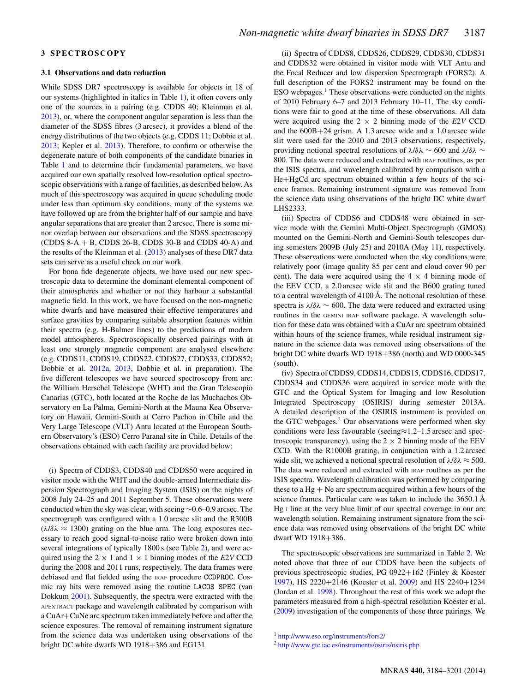## **3 SPECTROSCOPY**

#### **3.1 Observations and data reduction**

While SDSS DR7 spectroscopy is available for objects in 18 of our systems (highlighted in italics in Table [1\)](#page-2-0), it often covers only one of the sources in a pairing (e.g. CDDS 40; Kleinman et al. [2013\)](#page-17-23), or, where the component angular separation is less than the diameter of the SDSS fibres (3 arcsec), it provides a blend of the energy distributions of the two objects (e.g. CDDS 11; Dobbie et al. [2013;](#page-16-10) Kepler et al. [2013\)](#page-17-24). Therefore, to confirm or otherwise the degenerate nature of both components of the candidate binaries in Table [1](#page-2-0) and to determine their fundamental parameters, we have acquired our own spatially resolved low-resolution optical spectroscopic observations with a range of facilities, as described below. As much of this spectroscopy was acquired in queue scheduling mode under less than optimum sky conditions, many of the systems we have followed up are from the brighter half of our sample and have angular separations that are greater than 2 arcsec. There is some minor overlap between our observations and the SDSS spectroscopy (CDDS 8-A + B, CDDS 26-B, CDDS 30-B and CDDS 40-A) and the results of the Kleinman et al. [\(2013\)](#page-17-23) analyses of these DR7 data sets can serve as a useful check on our work.

For bona fide degenerate objects, we have used our new spectroscopic data to determine the dominant elemental component of their atmospheres and whether or not they harbour a substantial magnetic field. In this work, we have focused on the non-magnetic white dwarfs and have measured their effective temperatures and surface gravities by comparing suitable absorption features within their spectra (e.g. H-Balmer lines) to the predictions of modern model atmospheres. Spectroscopically observed pairings with at least one strongly magnetic component are analysed elsewhere (e.g. CDDS11, CDDS19, CDDS22, CDDS27, CDDS33, CDDS52; Dobbie et al. [2012a,](#page-16-9) [2013,](#page-16-10) Dobbie et al. in preparation). The five different telescopes we have sourced spectroscopy from are: the William Herschel Telescope (WHT) and the Gran Telescopio Canarias (GTC), both located at the Roche de las Muchachos Observatory on La Palma, Gemini-North at the Mauna Kea Observatory on Hawaii, Gemini-South at Cerro Pachon in Chile and the Very Large Telescope (VLT) Antu located at the European Southern Observatory's (ESO) Cerro Paranal site in Chile. Details of the observations obtained with each facility are provided below:

(i) Spectra of CDDS3, CDDS40 and CDDS50 were acquired in visitor mode with the WHT and the double-armed Intermediate dispersion Spectrograph and Imaging System (ISIS) on the nights of 2008 July 24–25 and 2011 September 5. These observations were conducted when the sky was clear, with seeing ∼0.6–0.9 arcsec. The spectrograph was configured with a 1.0 arcsec slit and the R300B  $(\lambda/\delta\lambda \approx 1300)$  grating on the blue arm. The long exposures necessary to reach good signal-to-noise ratio were broken down into several integrations of typically 1800 s (see Table [2\)](#page-4-0), and were acquired using the  $2 \times 1$  and  $1 \times 1$  binning modes of the *E*2*V* CCD during the 2008 and 2011 runs, respectively. The data frames were debiased and flat fielded using the IRAF procedure CCDPROC. Cosmic ray hits were removed using the routine LACOS SPEC (van Dokkum [2001\)](#page-17-25). Subsequently, the spectra were extracted with the APEXTRACT package and wavelength calibrated by comparison with a CuAr+CuNe arc spectrum taken immediately before and after the science exposures. The removal of remaining instrument signature from the science data was undertaken using observations of the bright DC white dwarfs WD 1918+386 and EG131.

(ii) Spectra of CDDS8, CDDS26, CDDS29, CDDS30, CDDS31 and CDDS32 were obtained in visitor mode with VLT Antu and the Focal Reducer and low dispersion Spectrograph (FORS2). A full description of the FORS2 instrument may be found on the ESO webpages. $<sup>1</sup>$  These observations were conducted on the nights</sup> of 2010 February 6–7 and 2013 February 10–11. The sky conditions were fair to good at the time of these observations. All data were acquired using the  $2 \times 2$  binning mode of the *E*2*V* CCD and the 600B+24 grism. A 1.3 arcsec wide and a 1.0 arcsec wide slit were used for the 2010 and 2013 observations, respectively, providing notional spectral resolutions of  $\lambda/\delta\lambda \sim 600$  and  $\lambda/\delta\lambda \sim$ 800. The data were reduced and extracted with IRAF routines, as per the ISIS spectra, and wavelength calibrated by comparison with a He+HgCd arc spectrum obtained within a few hours of the science frames. Remaining instrument signature was removed from the science data using observations of the bright DC white dwarf LHS2333.

(iii) Spectra of CDDS6 and CDDS48 were obtained in service mode with the Gemini Multi-Object Spectrograph (GMOS) mounted on the Gemini-North and Gemini-South telescopes during semesters 2009B (July 25) and 2010A (May 11), respectively. These observations were conducted when the sky conditions were relatively poor (image quality 85 per cent and cloud cover 90 per cent). The data were acquired using the  $4 \times 4$  binning mode of the EEV CCD, a 2.0 arcsec wide slit and the B600 grating tuned to a central wavelength of 4100 Å. The notional resolution of these spectra is  $\lambda/\delta\lambda \sim 600$ . The data were reduced and extracted using routines in the GEMINI IRAF software package. A wavelength solution for these data was obtained with a CuAr arc spectrum obtained within hours of the science frames, while residual instrument signature in the science data was removed using observations of the bright DC white dwarfs WD 1918+386 (north) and WD 0000-345 (south).

(iv) Spectra of CDDS9, CDDS14, CDDS15, CDDS16, CDDS17, CDDS34 and CDDS36 were acquired in service mode with the GTC and the Optical System for Imaging and low Resolution Integrated Spectroscopy (OSIRIS) during semester 2013A. A detailed description of the OSIRIS instrument is provided on the GTC webpages. $2$  Our observations were performed when sky conditions were less favourable (seeing≈1.2–1.5 arcsec and spectroscopic transparency), using the  $2 \times 2$  binning mode of the EEV CCD. With the R1000B grating, in conjunction with a 1.2 arcsec wide slit, we achieved a notional spectral resolution of  $\lambda/\delta\lambda \approx 500$ . The data were reduced and extracted with IRAF routines as per the ISIS spectra. Wavelength calibration was performed by comparing these to a  $Hg + Ne$  arc spectrum acquired within a few hours of the science frames. Particular care was taken to include the 3650.1 Å Hg <sup>I</sup> line at the very blue limit of our spectral coverage in our arc wavelength solution. Remaining instrument signature from the science data was removed using observations of the bright DC white dwarf WD 1918+386.

The spectroscopic observations are summarized in Table [2.](#page-4-0) We noted above that three of our CDDS have been the subjects of previous spectroscopic studies, PG 0922+162 (Finley & Koester [1997\)](#page-16-8), HS 2220+2146 (Koester et al. [2009\)](#page-17-22) and HS 2240+1234 (Jordan et al. [1998\)](#page-17-21). Throughout the rest of this work we adopt the parameters measured from a high-spectral resolution Koester et al. [\(2009\)](#page-17-22) investigation of the components of these three pairings. We

<sup>1</sup> <http://www.eso.org/instruments/fors2/>

<sup>2</sup> <http://www.gtc.iac.es/instruments/osiris/osiris.php>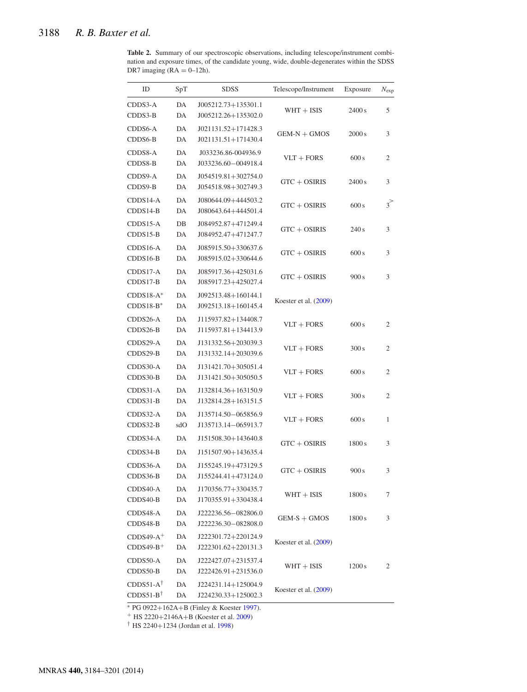<span id="page-4-0"></span>**Table 2.** Summary of our spectroscopic observations, including telescope/instrument combination and exposure times, of the candidate young, wide, double-degenerates within the SDSS DR7 imaging  $(RA = 0-12h)$ .

| ID                                           | SpT       | <b>SDSS</b>                                | Telescope/Instrument    | Exposure | $N_{\rm exp}$ |
|----------------------------------------------|-----------|--------------------------------------------|-------------------------|----------|---------------|
| CDDS3-A<br>CDDS3-B                           | DA<br>DA  | J005212.73+135301.1<br>J005212.26+135302.0 | $WHT + ISIS$            | 2400 s   | 5             |
| CDDS6-A<br>CDDS6-B                           | DA<br>DA  | J021131.52+171428.3<br>J021131.51+171430.4 | $GEM-N + GMOS$          | 2000 s   | 3             |
| CDDS8-A<br>CDDS8-B                           | DA<br>DA  | J033236.86-004936.9<br>J033236.60-004918.4 | $VLT + FORS$            | 600 s    | 2             |
| CDDS9-A<br>CDDS9-B                           | DA<br>DA  | J054519.81+302754.0<br>J054518.98+302749.3 | $GTC + OSIRIS$          | 2400 s   | 3             |
| $CDDS14-A$<br>CDDS14-B                       | DA<br>DA  | J080644.09+444503.2<br>J080643.64+444501.4 | $GTC + OSIRIS$          | 600 s    | $3^>$         |
| CDDS15-A<br>CDDS15-B                         | DB<br>DA  | J084952.87+471249.4<br>J084952.47+471247.7 | $GTC + OSIRIS$          | 240s     | 3             |
| CDDS16-A<br>CDDS16-B                         | DA<br>DA  | J085915.50+330637.6<br>J085915.02+330644.6 | $GTC + OSIRIS$          | 600 s    | 3             |
| CDDS17-A<br>CDDS17-B                         | DA<br>DA  | J085917.36+425031.6<br>J085917.23+425027.4 | $GTC + OSIRIS$          | 900 s    | 3             |
| $CDDS18-A^*$<br>$CDDS18-B*$                  | DA<br>DA  | J092513.48+160144.1<br>J092513.18+160145.4 | Koester et al. (2009)   |          |               |
| CDDS26-A<br>CDDS26-B                         | DA<br>DA  | J115937.82+134408.7<br>J115937.81+134413.9 | $VLT + FORS$            | 600 s    | 2             |
| CDDS29-A<br>CDDS29-B                         | DA<br>DA  | J131332.56+203039.3<br>J131332.14+203039.6 | $VLT + FORS$            | 300 s    | 2             |
| CDDS30-A<br>CDDS30-B                         | DA<br>DA  | J131421.70+305051.4<br>J131421.50+305050.5 | $VLT + FORS$            | 600 s    | 2             |
| CDDS31-A<br>CDDS31-B                         | DA<br>DA  | J132814.36+163150.9<br>J132814.28+163151.5 | $VLT + FORS$            | 300 s    | 2             |
| CDDS32-A<br>CDDS32-B                         | DA<br>sdO | J135714.50-065856.9<br>J135713.14-065913.7 | $VLT + FORS$            | 600 s    | 1             |
| CDDS34-A<br>CDDS34-B                         | DA<br>DA  | J151508.30+143640.8<br>J151507.90+143635.4 | $GTC + OSIRIS$          | 1800 s   | 3             |
| CDDS36-A<br>CDDS36-B                         | DA<br>DA  | J155245.19+473129.5<br>J155244.41+473124.0 | $GTC + OSIRIS$          | 900 s    | 3             |
| CDDS40-A<br>CDDS40-B                         | DA<br>DA  | J170356.77+330435.7<br>J170355.91+330438.4 | $WHT + ISIS$            | 1800 s   | 7             |
| CDDS48-A<br>CDDS48-B                         | DA<br>DA  | J222236.56-082806.0<br>J222236.30-082808.0 | $GEM-S + GMOS$          | 1800 s   | 3             |
| $CDDS49-A^+$<br>$CDDS49-B^+$                 | DA<br>DA  | J222301.72+220124.9<br>J222301.62+220131.3 | Koester et al. (2009)   |          |               |
| CDDS50-A<br>CDDS50-B                         | DA<br>DA  | J222427.07+231537.4<br>J222426.91+231536.0 | $WHT + ISIS$            | 1200 s   | 2             |
| $CDDS51-A^{\dagger}$<br>$CDDS51-B^{\dagger}$ | DA<br>DA  | J224231.14+125004.9<br>J224230.33+125002.3 | Koester et al. $(2009)$ |          |               |

<sup>∗</sup> PG 0922+162A+B (Finley & Koester [1997\)](#page-16-8).

<sup>+</sup> HS 2220+2146A+B (Koester et al. [2009\)](#page-17-22)

† HS 2240+1234 (Jordan et al. [1998\)](#page-17-21)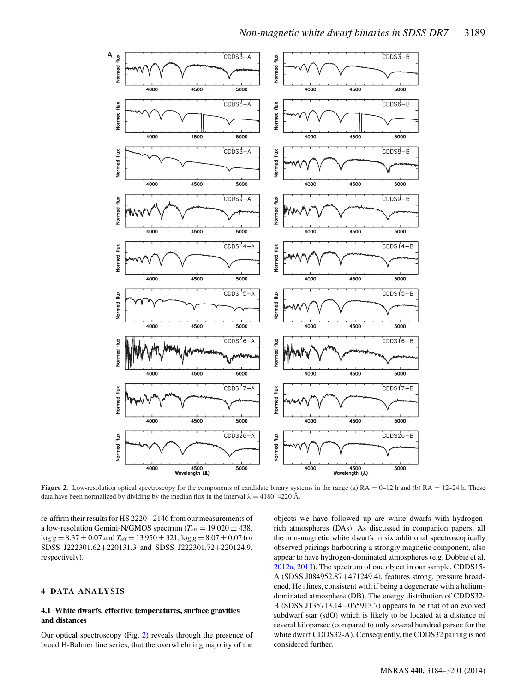<span id="page-5-0"></span>

**Figure 2.** Low-resolution optical spectroscopy for the components of candidate binary systems in the range (a)  $RA = 0-12$  h and (b)  $RA = 12-24$  h. These data have been normalized by dividing by the median flux in the interval  $\lambda = 4180-4220$  Å.

re-affirm their results for HS 2220+2146 from our measurements of a low-resolution Gemini-N/GMOS spectrum ( $T_{\text{eff}} = 19020 \pm 438$ ,  $\log g = 8.37 \pm 0.07$  and  $T_{\text{eff}} = 13950 \pm 321$ ,  $\log g = 8.07 \pm 0.07$  for SDSS J222301.62+220131.3 and SDSS J222301.72+220124.9, respectively).

# **4 DATA ANALYSIS**

# **4.1 White dwarfs, effective temperatures, surface gravities and distances**

Our optical spectroscopy (Fig. [2\)](#page-5-0) reveals through the presence of broad H-Balmer line series, that the overwhelming majority of the

objects we have followed up are white dwarfs with hydrogenrich atmospheres (DAs). As discussed in companion papers, all the non-magnetic white dwarfs in six additional spectroscopically observed pairings harbouring a strongly magnetic component, also appear to have hydrogen-dominated atmospheres (e.g. Dobbie et al. [2012a,](#page-16-9) [2013\)](#page-16-10). The spectrum of one object in our sample, CDDS15- A (SDSS J084952.87+471249.4), features strong, pressure broadened, He <sup>I</sup> lines, consistent with if being a degenerate with a heliumdominated atmosphere (DB). The energy distribution of CDDS32- B (SDSS J135713.14−065913.7) appears to be that of an evolved subdwarf star (sdO) which is likely to be located at a distance of several kiloparsec (compared to only several hundred parsec for the white dwarf CDDS32-A). Consequently, the CDDS32 pairing is not considered further.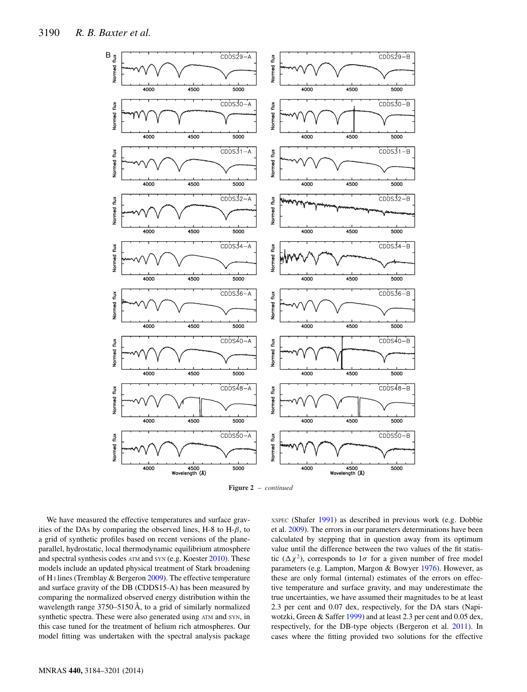<span id="page-6-0"></span>

**Figure 2** – *continued*

We have measured the effective temperatures and surface gravities of the DAs by comparing the observed lines, H-8 to H- $\beta$ , to a grid of synthetic profiles based on recent versions of the planeparallel, hydrostatic, local thermodynamic equilibrium atmosphere and spectral synthesis codes ATM and SYN (e.g. Koester [2010\)](#page-17-19). These models include an updated physical treatment of Stark broadening of H<sub>I</sub> lines (Tremblay & Bergeron [2009\)](#page-17-26). The effective temperature and surface gravity of the DB (CDDS15-A) has been measured by comparing the normalized observed energy distribution within the wavelength range 3750–5150 Å, to a grid of similarly normalized synthetic spectra. These were also generated using ATM and SYN, in this case tuned for the treatment of helium rich atmospheres. Our model fitting was undertaken with the spectral analysis package

XSPEC (Shafer [1991\)](#page-17-27) as described in previous work (e.g. Dobbie et al. [2009\)](#page-16-13). The errors in our parameters determinations have been calculated by stepping that in question away from its optimum value until the difference between the two values of the fit statistic  $(\Delta \chi^2)$ , corresponds to  $1\sigma$  for a given number of free model parameters (e.g. Lampton, Margon & Bowyer [1976\)](#page-17-28). However, as these are only formal (internal) estimates of the errors on effective temperature and surface gravity, and may underestimate the true uncertainties, we have assumed their magnitudes to be at least 2.3 per cent and 0.07 dex, respectively, for the DA stars (Napiwotzki, Green & Saffer [1999\)](#page-17-29) and at least 2.3 per cent and 0.05 dex, respectively, for the DB-type objects (Bergeron et al. [2011\)](#page-16-14). In cases where the fitting provided two solutions for the effective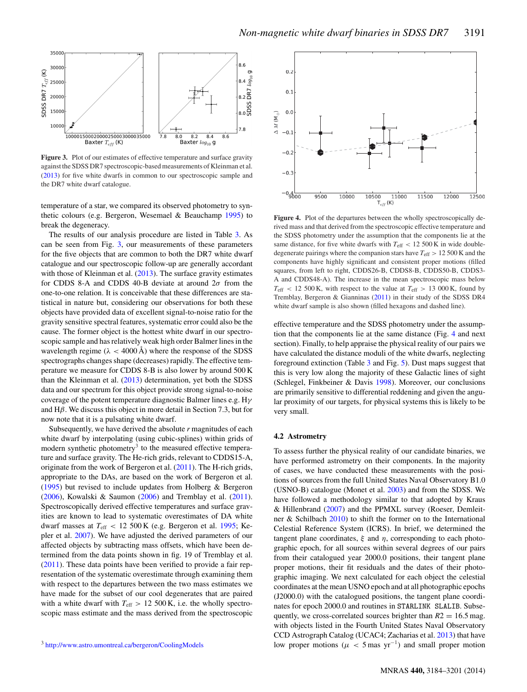<span id="page-7-0"></span>

**Figure 3.** Plot of our estimates of effective temperature and surface gravity against the SDSS DR7 spectroscopic-based measurements of Kleinman et al. [\(2013\)](#page-17-23) for five white dwarfs in common to our spectroscopic sample and the DR7 white dwarf catalogue.

temperature of a star, we compared its observed photometry to synthetic colours (e.g. Bergeron, Wesemael & Beauchamp [1995\)](#page-16-15) to break the degeneracy.

The results of our analysis procedure are listed in Table [3.](#page-8-0) As can be seen from Fig. [3,](#page-7-0) our measurements of these parameters for the five objects that are common to both the DR7 white dwarf catalogue and our spectroscopic follow-up are generally accordant with those of Kleinman et al. [\(2013\)](#page-17-23). The surface gravity estimates for CDDS 8-A and CDDS 40-B deviate at around  $2\sigma$  from the one-to-one relation. It is conceivable that these differences are statistical in nature but, considering our observations for both these objects have provided data of excellent signal-to-noise ratio for the gravity sensitive spectral features, systematic error could also be the cause. The former object is the hottest white dwarf in our spectroscopic sample and has relatively weak high order Balmer lines in the wavelength regime ( $\lambda < 4000$  Å) where the response of the SDSS spectrographs changes shape (decreases) rapidly. The effective temperature we measure for CDDS 8-B is also lower by around 500 K than the Kleinman et al. [\(2013\)](#page-17-23) determination, yet both the SDSS data and our spectrum for this object provide strong signal-to-noise coverage of the potent temperature diagnostic Balmer lines e.g.  $H\gamma$ and  $H\beta$ . We discuss this object in more detail in Section 7.3, but for now note that it is a pulsating white dwarf.

Subsequently, we have derived the absolute *r* magnitudes of each white dwarf by interpolating (using cubic-splines) within grids of modern synthetic photometry<sup>3</sup> to the measured effective temperature and surface gravity. The He-rich grids, relevant to CDDS15-A, originate from the work of Bergeron et al. [\(2011\)](#page-16-14). The H-rich grids, appropriate to the DAs, are based on the work of Bergeron et al. [\(1995\)](#page-16-15) but revised to include updates from Holberg & Bergeron [\(2006\)](#page-17-30), Kowalski & Saumon [\(2006\)](#page-17-31) and Tremblay et al. [\(2011\)](#page-17-32). Spectroscopically derived effective temperatures and surface gravities are known to lead to systematic overestimates of DA white dwarf masses at  $T_{\text{eff}}$  < 12 500 K (e.g. Bergeron et al. [1995;](#page-16-15) Kepler et al. [2007\)](#page-17-33). We have adjusted the derived parameters of our affected objects by subtracting mass offsets, which have been determined from the data points shown in fig. 19 of Tremblay et al. [\(2011\)](#page-17-32). These data points have been verified to provide a fair representation of the systematic overestimate through examining them with respect to the departures between the two mass estimates we have made for the subset of our cool degenerates that are paired with a white dwarf with  $T_{\text{eff}} > 12\,500 \,\text{K}$ , i.e. the wholly spectroscopic mass estimate and the mass derived from the spectroscopic



<span id="page-7-1"></span>

Figure 4. Plot of the departures between the wholly spectroscopically derived mass and that derived from the spectroscopic effective temperature and the SDSS photometry under the assumption that the components lie at the same distance, for five white dwarfs with  $T_{\text{eff}} < 12500 \text{ K}$  in wide doubledegenerate pairings where the companion stars have *T*eff > 12 500 K and the components have highly significant and consistent proper motions (filled squares, from left to right, CDDS26-B, CDDS8-B, CDDS50-B, CDDS3- A and CDDS48-A). The increase in the mean spectroscopic mass below  $T_{\text{eff}}$  < 12 500 K, with respect to the value at  $T_{\text{eff}} > 13000$  K, found by Tremblay, Bergeron & Gianninas [\(2011\)](#page-17-32) in their study of the SDSS DR4 white dwarf sample is also shown (filled hexagons and dashed line).

effective temperature and the SDSS photometry under the assumption that the components lie at the same distance (Fig. [4](#page-7-1) and next section). Finally, to help appraise the physical reality of our pairs we have calculated the distance moduli of the white dwarfs, neglecting foreground extinction (Table [3](#page-8-0) and Fig. [5\)](#page-9-0). Dust maps suggest that this is very low along the majority of these Galactic lines of sight (Schlegel, Finkbeiner & Davis [1998\)](#page-17-34). Moreover, our conclusions are primarily sensitive to differential reddening and given the angular proximity of our targets, for physical systems this is likely to be very small.

#### **4.2 Astrometry**

To assess further the physical reality of our candidate binaries, we have performed astrometry on their components. In the majority of cases, we have conducted these measurements with the positions of sources from the full United States Naval Observatory B1.0 (USNO-B) catalogue (Monet et al. [2003\)](#page-17-35) and from the SDSS. We have followed a methodology similar to that adopted by Kraus & Hillenbrand [\(2007\)](#page-17-36) and the PPMXL survey (Roeser, Demleitner & Schilbach [2010\)](#page-17-37) to shift the former on to the International Celestial Reference System (ICRS). In brief, we determined the tangent plane coordinates,  $\xi$  and  $\eta$ , corresponding to each photographic epoch, for all sources within several degrees of our pairs from their catalogued year 2000.0 positions, their tangent plane proper motions, their fit residuals and the dates of their photographic imaging. We next calculated for each object the celestial coordinates at the mean USNO epoch and at all photographic epochs (J2000.0) with the catalogued positions, the tangent plane coordinates for epoch 2000.0 and routines in STARLINK SLALIB. Subsequently, we cross-correlated sources brighter than  $R2 = 16.5$  mag. with objects listed in the Fourth United States Naval Observatory CCD Astrograph Catalog (UCAC4; Zacharias et al. [2013\)](#page-17-38) that have low proper motions ( $\mu$  < 5 mas yr<sup>-1</sup>) and small proper motion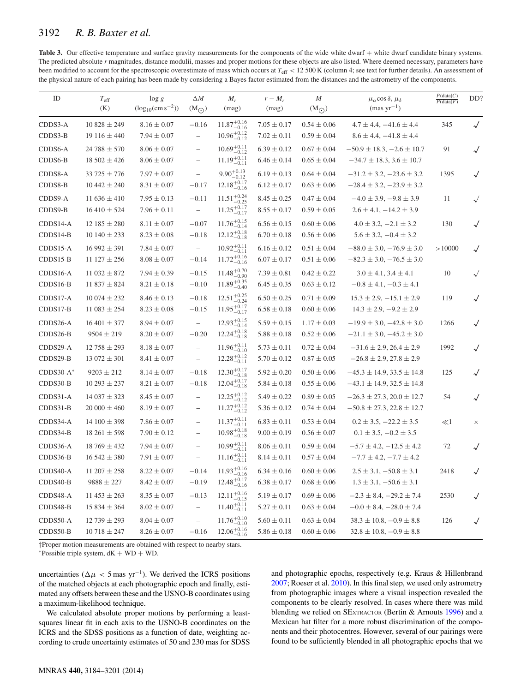<span id="page-8-0"></span>

| <b>Table 3.</b> Our effective temperature and surface gravity measurements for the components of the wide white dwarf + white dwarf candidate binary systems.                     |
|-----------------------------------------------------------------------------------------------------------------------------------------------------------------------------------|
| The predicted absolute r magnitudes, distance modulii, masses and proper motions for these objects are also listed. Where deemed necessary, parameters have                       |
| been modified to account for the spectroscopic overestimate of mass which occurs at $T_{\text{eff}} < 12500 \text{ K}$ (column 4; see text for further details). An assessment of |
| the physical nature of each pairing has been made by considering a Bayes factor estimated from the distances and the astrometry of the components.                                |

| ID                       | $T_{\rm eff}$<br>(K)                   | $\log g$<br>$(\log_{10}(\text{cm s}^{-2}))$ | $\triangle M$<br>$(M_{\odot})$                       | $M_r$<br>(mag)                                             | $r-M_r$<br>(mag)                   | M<br>$(M_{\odot})$                 | $\mu_{\alpha}$ cos $\delta, \mu_{\delta}$<br>$(mas yr^{-1})$             | P(data C)<br>P(data F) | DD?          |
|--------------------------|----------------------------------------|---------------------------------------------|------------------------------------------------------|------------------------------------------------------------|------------------------------------|------------------------------------|--------------------------------------------------------------------------|------------------------|--------------|
| CDDS3-A<br>CDDS3-B       | $10828 \pm 249$<br>$19116 \pm 440$     | $8.16 \pm 0.07$<br>$7.94 \pm 0.07$          | $-0.16$<br>$\overline{\phantom{a}}$                  | $11.87^{+0.16}_{-0.16}$<br>$10.96^{+0.12}_{-0.12}$         | $7.05 \pm 0.17$<br>$7.02 \pm 0.11$ | $0.54 \pm 0.06$<br>$0.59 \pm 0.04$ | $4.7 \pm 4.4, -41.6 \pm 4.4$<br>$8.6 \pm 4.4, -41.8 \pm 4.4$             | 345                    | $\sqrt{}$    |
| CDDS6-A<br>CDDS6-B       | $24788 \pm 570$<br>$18502 \pm 426$     | $8.06 \pm 0.07$<br>$8.06 \pm 0.07$          | $\overline{\phantom{0}}$<br>$\qquad \qquad -$        | $10.69^{+0.11}_{-0.12}$<br>$11.19^{+0.11}_{-0.11}$         | $6.39 \pm 0.12$<br>$6.46 \pm 0.14$ | $0.67 \pm 0.04$<br>$0.65 \pm 0.04$ | $-50.9 \pm 18.3, -2.6 \pm 10.7$<br>$-34.7 \pm 18.3, 3.6 \pm 10.7$        | 91                     | $\sqrt{}$    |
| CDDS8-A<br>CDDS8-B       | $33725 \pm 776$<br>$10\,442 \pm 240$   | $7.97 \pm 0.07$<br>$8.31 \pm 0.07$          | $\qquad \qquad -$<br>$-0.17$                         | $9.90^{+0.13}_{-0.12}$<br>$12.18^{+0.17}_{-0.16}$          | $6.19 \pm 0.13$<br>$6.12 \pm 0.17$ | $0.64 \pm 0.04$<br>$0.63 \pm 0.06$ | $-31.2 \pm 3.2, -23.6 \pm 3.2$<br>$-28.4 \pm 3.2, -23.9 \pm 3.2$         | 1395                   | $\sqrt{}$    |
| CDDS9-A<br>CDDS9-B       | 11 $636 \pm 410$<br>$16\,410 \pm 524$  | $7.95 \pm 0.13$<br>$7.96 \pm 0.11$          | $-0.11$<br>$\overline{\phantom{m}}$                  | $11.51_{\rm -0.25}^{\rm +0.24}$<br>$11.25^{+0.17}_{-0.17}$ | $8.45 \pm 0.25$<br>$8.55 \pm 0.17$ | $0.47 \pm 0.04$<br>$0.59 \pm 0.05$ | $-4.0 \pm 3.9, -9.8 \pm 3.9$<br>$2.6 \pm 4.1, -14.2 \pm 3.9$             | 11                     | $\sqrt{}$    |
| CDDS14-A<br>$CDDS14-B$   | $12\,185 \pm 280$<br>$10140 \pm 233$   | $8.11 \pm 0.07$<br>$8.23 \pm 0.08$          | $-0.07$<br>$-0.18$                                   | $11.76^{+0.15}_{-0.14}$<br>$12.12_{-0.18}^{+0.18}$         | $6.56 \pm 0.15$<br>$6.70 \pm 0.18$ | $0.60 \pm 0.06$<br>$0.56 \pm 0.06$ | $4.0 \pm 3.2, -2.1 \pm 3.2$<br>$5.6 \pm 3.2, -0.4 \pm 3.2$               | 130                    | $\checkmark$ |
| $CDDS15-A$<br>$CDDS15-B$ | $16992 \pm 391$<br>$11\,127 \pm 256$   | $7.84 \pm 0.07$<br>$8.08 \pm 0.07$          | $\overline{\phantom{m}}$<br>$-0.14$                  | $10.92^{+0.11}_{-0.11}$<br>$11.72^{+0.16}_{-0.16}$         | $6.16 \pm 0.12$<br>$6.07 \pm 0.17$ | $0.51 \pm 0.04$<br>$0.51 \pm 0.06$ | $-88.0 \pm 3.0, -76.9 \pm 3.0$<br>$-82.3 \pm 3.0, -76.5 \pm 3.0$         | >10000                 | $\sqrt{}$    |
| CDDS16-A<br>$CDDS16-B$   | $11032 \pm 872$<br>$11837 \pm 824$     | $7.94 \pm 0.39$<br>$8.21 \pm 0.18$          | $-0.15$<br>$-0.10$                                   | $11.48^{+0.70}_{-0.90}$<br>$11.89^{+0.35}_{-0.40}$         | $7.39 \pm 0.81$<br>$6.45 \pm 0.35$ | $0.42 \pm 0.22$<br>$0.63 \pm 0.12$ | $3.0 \pm 4.1, 3.4 \pm 4.1$<br>$-0.8 \pm 4.1, -0.3 \pm 4.1$               | 10                     | $\sqrt{}$    |
| $CDDS17-A$<br>CDDS17-B   | $10074 \pm 232$<br>$11\,083 \pm 254$   | $8.46 \pm 0.13$<br>$8.23 \pm 0.08$          | $-0.18$<br>$-0.15$                                   | $12.51^{+0.25}_{-0.24}$<br>$11.95^{+0.17}_{-0.17}$         | $6.50 \pm 0.25$<br>$6.58 \pm 0.18$ | $0.71 \pm 0.09$<br>$0.60 \pm 0.06$ | $15.3 \pm 2.9, -15.1 \pm 2.9$<br>$14.3 \pm 2.9, -9.2 \pm 2.9$            | 119                    | $\checkmark$ |
| CDDS26-A<br>CDDS26-B     | $16\,401 \pm 377$<br>$9504 \pm 219$    | $8.94 \pm 0.07$<br>$8.20 \pm 0.07$          | $\overline{\phantom{m}}$<br>$-0.20$                  | $12.93^{+0.15}_{-0.14}$<br>$12.24_{-0.18}^{+0.18}$         | $5.59 \pm 0.15$<br>$5.88 \pm 0.18$ | $1.17 \pm 0.03$<br>$0.52 \pm 0.06$ | $-19.9 \pm 3.0, -42.8 \pm 3.0$<br>$-21.1 \pm 3.0, -45.2 \pm 3.0$         | 1266                   | $\checkmark$ |
| CDDS29-A<br>CDDS29-B     | $12\,758 \pm 293$<br>$13072 \pm 301$   | $8.18 \pm 0.07$<br>$8.41 \pm 0.07$          | $\overline{\phantom{0}}$<br>$\overline{\phantom{0}}$ | $11.96^{+0.11}_{-0.10}$<br>$12.28^{+0.12}_{-0.11}$         | $5.73 \pm 0.11$<br>$5.70 \pm 0.12$ | $0.72 \pm 0.04$<br>$0.87 \pm 0.05$ | $-31.6 \pm 2.9$ , 26.4 $\pm 2.9$<br>$-26.8 \pm 2.9$ , 27.8 $\pm 2.9$     | 1992                   | $\checkmark$ |
| $CDDS30-A*$<br>CDDS30-B  | $9203 \pm 212$<br>$10293 \pm 237$      | $8.14 \pm 0.07$<br>$8.21 \pm 0.07$          | $-0.18$<br>$-0.18$                                   | $12.30^{+0.17}_{-0.18}$<br>$12.04^{+0.17}_{-0.18}$         | $5.92 \pm 0.20$<br>$5.84 \pm 0.18$ | $0.50 \pm 0.06$<br>$0.55 \pm 0.06$ | $-45.3 \pm 14.9$ , 33.5 $\pm$ 14.8<br>$-43.1 \pm 14.9$ , 32.5 $\pm$ 14.8 | 125                    | $\sqrt{}$    |
| CDDS31-A<br>CDDS31-B     | $14037 \pm 323$<br>$20000 \pm 460$     | $8.45 \pm 0.07$<br>$8.19 \pm 0.07$          | -<br>$\overline{\phantom{a}}$                        | $12.25_{-0.12}^{+0.12}$<br>$11.27^{+0.12}_{-0.12}$         | $5.49 \pm 0.22$<br>$5.36 \pm 0.12$ | $0.89 \pm 0.05$<br>$0.74 \pm 0.04$ | $-26.3 \pm 27.3$ , $20.0 \pm 12.7$<br>$-50.8 \pm 27.3$ , 22.8 $\pm$ 12.7 | 54                     | $\sqrt{}$    |
| CDDS34-A<br>CDDS34-B     | $14100 \pm 398$<br>$18\,261 \pm 598$   | $7.86 \pm 0.07$<br>$7.90 \pm 0.12$          | $\overline{\phantom{0}}$<br>$\overline{\phantom{0}}$ | $11.37^{+0.11}_{-0.11}$<br>$10.98^{+0.18}_{-0.18}$         | $6.83 \pm 0.11$<br>$9.00 \pm 0.19$ | $0.53 \pm 0.04$<br>$0.56 \pm 0.07$ | $0.2 \pm 3.5, -22.2 \pm 3.5$<br>$0.1 \pm 3.5, -0.2 \pm 3.5$              | $\ll$ 1                | $\times$     |
| CDDS36-A<br>CDDS36-B     | $18769 \pm 432$<br>$16\,542 \pm 380$   | $7.94 \pm 0.07$<br>$7.91 \pm 0.07$          | $\overline{\phantom{0}}$<br>$\qquad \qquad -$        | $10.99^{+0.11}_{-0.11}$<br>$11.16^{+0.11}_{-0.11}$         | $8.06 \pm 0.11$<br>$8.14 \pm 0.11$ | $0.59 \pm 0.04$<br>$0.57 \pm 0.04$ | $-5.7 \pm 4.2, -12.5 \pm 4.2$<br>$-7.7 \pm 4.2, -7.7 \pm 4.2$            | 72                     | $\checkmark$ |
| CDDS40-A<br>CDDS40-B     | $11\,207 \pm 258$<br>$9888 \pm 227$    | $8.22 \pm 0.07$<br>$8.42 \pm 0.07$          | $-0.14$<br>$-0.19$                                   | $11.93_{-0.16}^{+0.16}$<br>$12.48^{+0.17}_{-0.16}$         | $6.34 \pm 0.16$<br>$6.38 \pm 0.17$ | $0.60 \pm 0.06$<br>$0.68 \pm 0.06$ | $2.5 \pm 3.1, -50.8 \pm 3.1$<br>$1.3 \pm 3.1, -50.6 \pm 3.1$             | 2418                   | $\checkmark$ |
| CDDS48-A<br>CDDS48-B     | $11\,453 \pm 263$<br>$15834 \pm 364$   | $8.35 \pm 0.07$<br>$8.02 \pm 0.07$          | $-0.13$<br>$\qquad \qquad -$                         | $12.11^{+0.16}_{-0.15}$<br>$11.40^{+0.11}_{-0.11}$         | $5.19\pm0.17$<br>$5.27 \pm 0.11$   | $0.69 \pm 0.06$<br>$0.63 \pm 0.04$ | $-2.3 \pm 8.4, -29.2 \pm 7.4$<br>$-0.0 \pm 8.4, -28.0 \pm 7.4$           | 2530                   | $\checkmark$ |
| CDDS50-A<br>CDDS50-B     | $12\,739 \pm 293$<br>$10\,718 \pm 247$ | $8.04 \pm 0.07$<br>$8.26 \pm 0.07$          | $\qquad \qquad -$<br>$-0.16$                         | $11.76^{+0.10}_{-0.10}$<br>$12.06^{+0.16}_{-0.16}$         | $5.60 \pm 0.11$<br>$5.86 \pm 0.18$ | $0.63 \pm 0.04$<br>$0.60 \pm 0.06$ | $38.3 \pm 10.8, -0.9 \pm 8.8$<br>$32.8 \pm 10.8, -0.9 \pm 8.8$           | 126                    | $\sqrt{}$    |

†Proper motion measurements are obtained with respect to nearby stars.

<sup>∗</sup>Possible triple system, dK + WD + WD.

uncertainties ( $\Delta \mu < 5$  mas yr<sup>-1</sup>). We derived the ICRS positions of the matched objects at each photographic epoch and finally, estimated any offsets between these and the USNO-B coordinates using a maximum-likelihood technique.

We calculated absolute proper motions by performing a leastsquares linear fit in each axis to the USNO-B coordinates on the ICRS and the SDSS positions as a function of date, weighting according to crude uncertainty estimates of 50 and 230 mas for SDSS and photographic epochs, respectively (e.g. Kraus & Hillenbrand [2007;](#page-17-36) Roeser et al. [2010\)](#page-17-37). In this final step, we used only astrometry from photographic images where a visual inspection revealed the components to be clearly resolved. In cases where there was mild blending we relied on SEXTRACTOR (Bertin & Arnouts [1996\)](#page-16-16) and a Mexican hat filter for a more robust discrimination of the components and their photocentres. However, several of our pairings were found to be sufficiently blended in all photographic epochs that we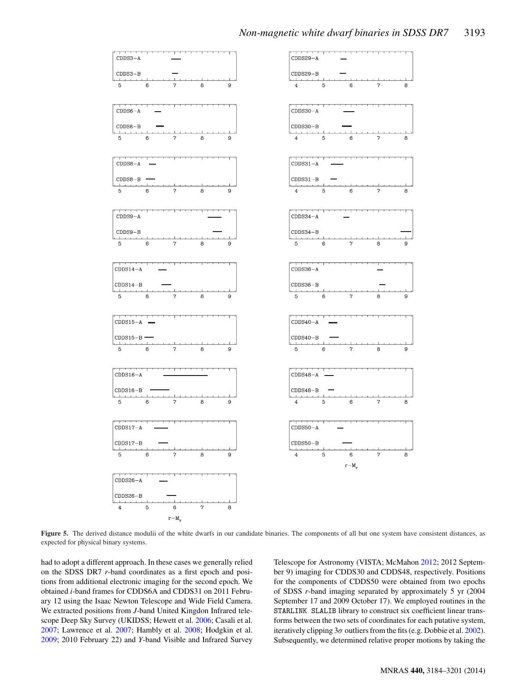<span id="page-9-0"></span>

**Figure 5.** The derived distance modulii of the white dwarfs in our candidate binaries. The components of all but one system have consistent distances, as expected for physical binary systems.

had to adopt a different approach. In these cases we generally relied on the SDSS DR7 *r*-band coordinates as a first epoch and positions from additional electronic imaging for the second epoch. We obtained *i*-band frames for CDDS6A and CDDS31 on 2011 February 12 using the Isaac Newton Telescope and Wide Field Camera. We extracted positions from *J*-band United Kingdon Infrared telescope Deep Sky Survey (UKIDSS; Hewett et al. [2006;](#page-17-39) Casali et al. [2007;](#page-16-17) Lawrence et al. [2007;](#page-17-40) Hambly et al. [2008;](#page-17-41) Hodgkin et al. [2009;](#page-17-42) 2010 February 22) and *Y*-band Visible and Infrared Survey Telescope for Astronomy (VISTA; McMahon [2012;](#page-17-43) 2012 September 9) imaging for CDDS30 and CDDS48, respectively. Positions for the components of CDDS50 were obtained from two epochs of SDSS *r*-band imaging separated by approximately 5 yr (2004 September 17 and 2009 October 17). We employed routines in the STARLINK SLALIB library to construct six coefficient linear transforms between the two sets of coordinates for each putative system, iteratively clipping  $3\sigma$  outliers from the fits (e.g. Dobbie et al. [2002\)](#page-16-18). Subsequently, we determined relative proper motions by taking the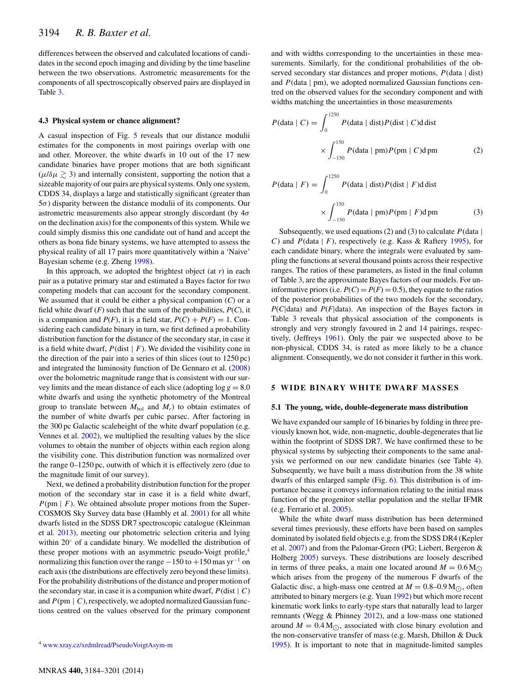differences between the observed and calculated locations of candidates in the second epoch imaging and dividing by the time baseline between the two observations. Astrometric measurements for the components of all spectroscopically observed pairs are displayed in Table [3.](#page-8-0)

### **4.3 Physical system or chance alignment?**

A casual inspection of Fig. [5](#page-9-0) reveals that our distance modulii estimates for the components in most pairings overlap with one and other. Moreover, the white dwarfs in 10 out of the 17 new candidate binaries have proper motions that are both significant  $(μ/δμ *2* 3)$  and internally consistent, supporting the notion that a sizeable majority of our pairs are physical systems. Only one system, CDDS 34, displays a large and statistically significant (greater than  $5\sigma$ ) disparity between the distance modulii of its components. Our astrometric measurements also appear strongly discordant (by  $4\sigma$ ) on the declination axis) for the components of this system. While we could simply dismiss this one candidate out of hand and accept the others as bona fide binary systems, we have attempted to assess the physical reality of all 17 pairs more quantitatively within a 'Naive' Bayesian scheme (e.g. Zheng [1998\)](#page-17-44).

In this approach, we adopted the brightest object (at *r*) in each pair as a putative primary star and estimated a Bayes factor for two competing models that can account for the secondary component. We assumed that it could be either a physical companion (*C*) or a field white dwarf  $(F)$  such that the sum of the probabilities,  $P(C)$ , it is a companion and  $P(F)$ , it is a field star,  $P(C) + P(F) = 1$ . Considering each candidate binary in turn, we first defined a probability distribution function for the distance of the secondary star, in case it is a field white dwarf,  $P$ (dist |  $F$ ). We divided the visibility cone in the direction of the pair into a series of thin slices (out to 1250 pc) and integrated the luminosity function of De Gennaro et al. [\(2008\)](#page-16-19) over the bolometric magnitude range that is consistent with our survey limits and the mean distance of each slice (adopting  $\log g = 8.0$ ) white dwarfs and using the synthetic photometry of the Montreal group to translate between  $M_{bol}$  and  $M_r$ ) to obtain estimates of the number of white dwarfs per cubic parsec. After factoring in the 300 pc Galactic scaleheight of the white dwarf population (e.g. Vennes et al. [2002\)](#page-17-45), we multiplied the resulting values by the slice volumes to obtain the number of objects within each region along the visibility cone. This distribution function was normalized over the range 0–1250 pc, outwith of which it is effectively zero (due to the magnitude limit of our survey).

Next, we defined a probability distribution function for the proper motion of the secondary star in case it is a field white dwarf,  $P(pm \mid F)$ . We obtained absolute proper motions from the Super-COSMOS Sky Survey data base (Hambly et al. [2001\)](#page-17-46) for all white dwarfs listed in the SDSS DR7 spectroscopic catalogue (Kleinman et al. [2013\)](#page-17-23), meeting our photometric selection criteria and lying within 20◦ of a candidate binary. We modelled the distribution of these proper motions with an asymmetric pseudo-Voigt profile,<sup>4</sup> normalizing this function over the range  $-150$  to  $+150$  mas yr<sup>-1</sup> on each axis (the distributions are effectively zero beyond these limits). For the probability distributions of the distance and proper motion of the secondary star, in case it is a companion white dwarf,  $P(\text{dist} \mid C)$ and  $P(pm | C)$ , respectively, we adopted normalized Gaussian functions centred on the values observed for the primary component

and with widths corresponding to the uncertainties in these measurements. Similarly, for the conditional probabilities of the observed secondary star distances and proper motions,  $P$ (data | dist) and  $P$ (data  $\mid$  pm), we adopted normalized Gaussian functions centred on the observed values for the secondary component and with widths matching the uncertainties in those measurements

$$
P(\text{data} \mid C) = \int_0^{1250} P(\text{data} \mid \text{dist}) P(\text{dist} \mid C) \text{d} \text{dist}
$$

$$
\times \int_{-150}^{150} P(\text{data} \mid \text{pm}) P(\text{pm} \mid C) \text{d} \text{pm}
$$
(2)

$$
P(\text{data} \mid F) = \int_0^{1250} P(\text{data} \mid \text{dist}) P(\text{dist} \mid F) \text{d} \text{dist}
$$

$$
\times \int_{-150}^{150} P(\text{data} \mid \text{pm}) P(\text{pm} \mid F) \text{d} \text{pm}
$$
(3)

Subsequently, we used equations (2) and (3) to calculate  $P$ (data | C) and  $P$ (data | F), respectively (e.g. Kass & Raftery [1995\)](#page-17-47), for each candidate binary, where the integrals were evaluated by sampling the functions at several thousand points across their respective ranges. The ratios of these parameters, as listed in the final column of Table [3,](#page-8-0) are the approximate Bayes factors of our models. For uninformative priors (i.e.  $P(C) = P(F) = 0.5$ ), they equate to the ratios of the posterior probabilities of the two models for the secondary, *P*(*C*|data) and *P*(*F*|data). An inspection of the Bayes factors in Table [3](#page-8-0) reveals that physical association of the components is strongly and very strongly favoured in 2 and 14 pairings, respectively, (Jeffreys [1961\)](#page-17-48). Only the pair we suspected above to be non-physical, CDDS 34, is rated as more likely to be a chance alignment. Consequently, we do not consider it further in this work.

#### **5 WIDE BINARY WHITE DWARF MASSES**

#### **5.1 The young, wide, double-degenerate mass distribution**

We have expanded our sample of 16 binaries by folding in three previously known hot, wide, non-magnetic, double-degenerates that lie within the footprint of SDSS DR7. We have confirmed these to be physical systems by subjecting their components to the same analysis we performed on our new candidate binaries (see Table [4\)](#page-11-0). Subsequently, we have built a mass distribution from the 38 white dwarfs of this enlarged sample (Fig. [6\)](#page-11-1). This distribution is of importance because it conveys information relating to the initial mass function of the progenitor stellar population and the stellar IFMR (e.g. Ferrario et al. [2005\)](#page-16-20).

While the white dwarf mass distribution has been determined several times previously, these efforts have been based on samples dominated by isolated field objects e.g. from the SDSS DR4 (Kepler et al. [2007\)](#page-17-33) and from the Palomar-Green (PG; Liebert, Bergeron & Holberg [2005\)](#page-17-49) surveys. These distributions are loosely described in terms of three peaks, a main one located around  $M = 0.6 M_{\odot}$ which arises from the progeny of the numerous F dwarfs of the Galactic disc, a high-mass one centred at  $M = 0.8{\text{-}}0.9 \text{ M}_{\odot}$ , often attributed to binary mergers (e.g. Yuan [1992\)](#page-17-50) but which more recent kinematic work links to early-type stars that naturally lead to larger remnants (Wegg & Phinney [2012\)](#page-17-51), and a low-mass one stationed around  $M = 0.4 M_{\odot}$ , associated with close binary evolution and the non-conservative transfer of mass (e.g. Marsh, Dhillon & Duck [1995\)](#page-17-52). It is important to note that in magnitude-limited samples

<sup>4</sup> [www.xray.cz/xrdmlread/PseudoVoigtAsym-m](http://www.xray.cz/xrdmlread/PseudoVoigtAsym-m)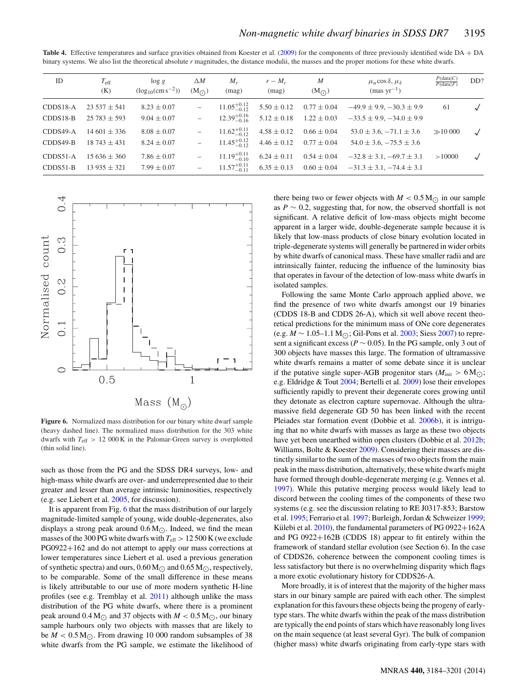<span id="page-11-0"></span>Table 4. Effective temperatures and surface gravities obtained from Koester et al. [\(2009\)](#page-17-22) for the components of three previously identified wide DA + DA binary systems. We also list the theoretical absolute *r* magnitudes, the distance modulii, the masses and the proper motions for these white dwarfs.

| ID         | $T_{\rm eff}$<br>(K) | $\log g$<br>$(\log_{10}(\text{cm s}^{-2}))$ | $\triangle M$<br>$(M_{\odot})$ | $M_r$<br>(mag)          | $r-M_r$<br>(mag) | $\boldsymbol{M}$<br>$(M_{\odot})$ | $\mu_{\alpha}$ cos $\delta, \mu_{\delta}$<br>${\rm (mas~yr^{-1})}$ | P(data C)<br>P(data F) | DD?        |
|------------|----------------------|---------------------------------------------|--------------------------------|-------------------------|------------------|-----------------------------------|--------------------------------------------------------------------|------------------------|------------|
| $CDDS18-A$ | $23537 \pm 541$      | $8.23 \pm 0.07$                             | $\qquad \qquad -$              | $11.05^{+0.12}_{-0.12}$ | $5.50 \pm 0.12$  | $0.77 \pm 0.04$                   | $-49.9 \pm 9.9, -30.3 \pm 9.9$                                     | 61                     | $\sqrt{ }$ |
| $CDDS18-B$ | $25783 \pm 593$      | $9.04 \pm 0.07$                             | $\overline{\phantom{0}}$       | $12.39^{+0.16}_{-0.16}$ | $5.12 \pm 0.18$  | $1.22 \pm 0.03$                   | $-33.5 \pm 9.9, -34.0 \pm 9.9$                                     |                        |            |
| CDDS49-A   | $14601 \pm 336$      | $8.08 \pm 0.07$                             | $\qquad \qquad -$              | $11.62^{+0.11}_{-0.12}$ | $4.58 \pm 0.12$  | $0.66 \pm 0.04$                   | $53.0 \pm 3.6, -71.1 \pm 3.6$                                      | $\gg$ 10 000           |            |
| $CDDS49-B$ | $18743 \pm 431$      | $8.24 \pm 0.07$                             | $\overline{\phantom{a}}$       | $11.45_{-0.12}^{+0.12}$ | $4.46 \pm 0.12$  | $0.77 \pm 0.04$                   | $54.0 \pm 3.6, -75.5 \pm 3.6$                                      |                        |            |
| $CDDS51-A$ | $15636 \pm 360$      | $7.86 \pm 0.07$                             | $\overline{\phantom{0}}$       | $11.19^{+0.11}_{-0.10}$ | $6.24 \pm 0.11$  | $0.54 \pm 0.04$                   | $-32.8 \pm 3.1, -69.7 \pm 3.1$                                     | >10000                 | $\sqrt{}$  |
| $CDDS51-B$ | $13935 \pm 321$      | $7.99 \pm 0.07$                             | $\overline{\phantom{0}}$       | $11.57^{+0.11}_{-0.11}$ | $6.35 \pm 0.13$  | $0.60 \pm 0.04$                   | $-31.3 \pm 3.1, -74.4 \pm 3.1$                                     |                        |            |

<span id="page-11-1"></span>

**Figure 6.** Normalized mass distribution for our binary white dwarf sample (heavy dashed line). The normalized mass distribution for the 303 white dwarfs with  $T_{\text{eff}} > 12000 \text{ K}$  in the Palomar-Green survey is overplotted (thin solid line).

such as those from the PG and the SDSS DR4 surveys, low- and high-mass white dwarfs are over- and underrepresented due to their greater and lesser than average intrinsic luminosities, respectively (e.g. see Liebert et al. [2005,](#page-17-49) for discussion).

It is apparent from Fig. [6](#page-11-1) that the mass distribution of our largely magnitude-limited sample of young, wide double-degenerates, also displays a strong peak around  $0.6 M_{\odot}$ . Indeed, we find the mean masses of the 300 PG white dwarfs with  $T_{\text{eff}} > 12500$  K (we exclude PG0922+162 and do not attempt to apply our mass corrections at lower temperatures since Liebert et al. used a previous generation of synthetic spectra) and ours,  $0.60 M_{\odot}$  and  $0.65 M_{\odot}$ , respectively, to be comparable. Some of the small difference in these means is likely attributable to our use of more modern synthetic H-line profiles (see e.g. Tremblay et al. [2011\)](#page-17-32) although unlike the mass distribution of the PG white dwarfs, where there is a prominent peak around  $0.4 M_{\odot}$  and 37 objects with  $M < 0.5 M_{\odot}$ , our binary sample harbours only two objects with masses that are likely to be  $M < 0.5$  M<sub> $\odot$ </sub>. From drawing 10 000 random subsamples of 38 white dwarfs from the PG sample, we estimate the likelihood of there being two or fewer objects with  $M < 0.5$  M<sub> $\odot$ </sub> in our sample as  $P \sim 0.2$ , suggesting that, for now, the observed shortfall is not significant. A relative deficit of low-mass objects might become apparent in a larger wide, double-degenerate sample because it is likely that low-mass products of close binary evolution located in triple-degenerate systems will generally be partnered in wider orbits by white dwarfs of canonical mass. These have smaller radii and are intrinsically fainter, reducing the influence of the luminosity bias that operates in favour of the detection of low-mass white dwarfs in isolated samples.

Following the same Monte Carlo approach applied above, we find the presence of two white dwarfs amongst our 19 binaries (CDDS 18-B and CDDS 26-A), which sit well above recent theoretical predictions for the minimum mass of ONe core degenerates (e.g. *M* ∼ 1.05–1.1 M<sub>∩</sub>; Gil-Pons et al. [2003;](#page-17-53) Siess [2007\)](#page-17-54) to represent a significant excess ( $P \sim 0.05$ ). In the PG sample, only 3 out of 300 objects have masses this large. The formation of ultramassive white dwarfs remains a matter of some debate since it is unclear if the putative single super-AGB progenitor stars ( $M_{\text{init}} > 6 \text{ M}_{\odot}$ ); e.g. Eldridge & Tout [2004;](#page-16-21) Bertelli et al. [2009\)](#page-16-22) lose their envelopes sufficiently rapidly to prevent their degenerate cores growing until they detonate as electron capture supernovae. Although the ultramassive field degenerate GD 50 has been linked with the recent Pleiades star formation event (Dobbie et al. [2006b\)](#page-16-23), it is intriguing that no white dwarfs with masses as large as these two objects have yet been unearthed within open clusters (Dobbie et al. [2012b;](#page-16-24) Williams, Bolte & Koester [2009\)](#page-17-55). Considering their masses are distinctly similar to the sum of the masses of two objects from the main peak in the mass distribution, alternatively, these white dwarfs might have formed through double-degenerate merging (e.g. Vennes et al. [1997\)](#page-17-56). While this putative merging process would likely lead to discord between the cooling times of the components of these two systems (e.g. see the discussion relating to RE J0317-853; Barstow et al. [1995;](#page-16-25) Ferrario et al. [1997;](#page-16-26) Burleigh, Jordan & Schweizer [1999;](#page-16-27) Külebi et al.  $2010$ ), the fundamental parameters of PG 0922+162A and PG 0922+162B (CDDS 18) appear to fit entirely within the framework of standard stellar evolution (see Section 6). In the case of CDDS26, coherence between the component cooling times is less satisfactory but there is no overwhelming disparity which flags a more exotic evolutionary history for CDDS26-A.

More broadly, it is of interest that the majority of the higher mass stars in our binary sample are paired with each other. The simplest explanation for this favours these objects being the progeny of earlytype stars. The white dwarfs within the peak of the mass distribution are typically the end points of stars which have reasonably long lives on the main sequence (at least several Gyr). The bulk of companion (higher mass) white dwarfs originating from early-type stars with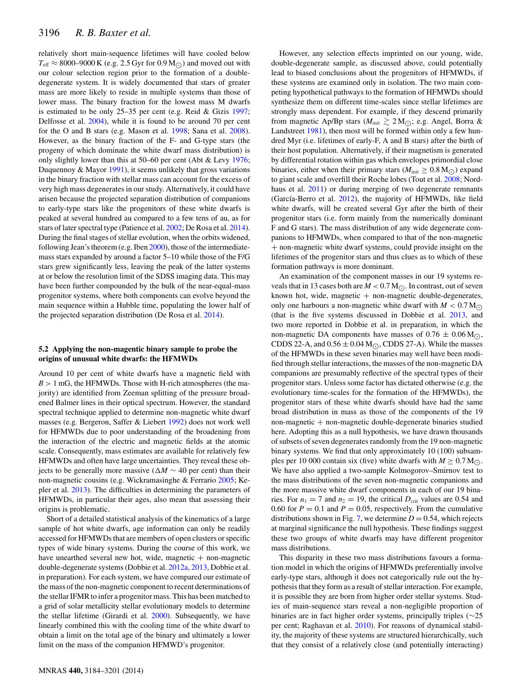relatively short main-sequence lifetimes will have cooled below  $T_{\text{eff}} \approx 8000$ –9000 K (e.g. 2.5 Gyr for 0.9 M<sub> $\odot$ </sub>) and moved out with our colour selection region prior to the formation of a doubledegenerate system. It is widely documented that stars of greater mass are more likely to reside in multiple systems than those of lower mass. The binary fraction for the lowest mass M dwarfs is estimated to be only 25–35 per cent (e.g. Reid & Gizis [1997;](#page-17-58) Delfosse et al. [2004\)](#page-16-7), while it is found to be around 70 per cent for the O and B stars (e.g. Mason et al. [1998;](#page-17-59) Sana et al. [2008\)](#page-17-60). However, as the binary fraction of the F- and G-type stars (the progeny of which dominate the white dwarf mass distribution) is only slightly lower than this at 50–60 per cent (Abt & Levy [1976;](#page-16-28) Duquennoy & Mayor [1991\)](#page-16-0), it seems unlikely that gross variations in the binary fraction with stellar mass can account for the excess of very high mass degenerates in our study. Alternatively, it could have arisen because the projected separation distribution of companions to early-type stars like the progenitors of these white dwarfs is peaked at several hundred au compared to a few tens of au, as for stars of later spectral type (Patience et al. [2002;](#page-17-61) De Rosa et al. [2014\)](#page-16-29). During the final stages of stellar evolution, when the orbits widened, following Jean's theorem (e.g. Iben [2000\)](#page-17-62), those of the intermediatemass stars expanded by around a factor 5–10 while those of the F/G stars grew significantly less, leaving the peak of the latter systems at or below the resolution limit of the SDSS imaging data. This may have been further compounded by the bulk of the near-equal-mass progenitor systems, where both components can evolve beyond the main sequence within a Hubble time, populating the lower half of the projected separation distribution (De Rosa et al. [2014\)](#page-16-29).

#### **5.2 Applying the non-magentic binary sample to probe the origins of unusual white dwarfs: the HFMWDs**

Around 10 per cent of white dwarfs have a magnetic field with  $B > 1$  mG, the HFMWDs. Those with H-rich atmospheres (the majority) are identified from Zeeman splitting of the pressure broadened Balmer lines in their optical spectrum. However, the standard spectral technique applied to determine non-magnetic white dwarf masses (e.g. Bergeron, Saffer & Liebert [1992\)](#page-16-30) does not work well for HFMWDs due to poor understanding of the broadening from the interaction of the electric and magnetic fields at the atomic scale. Consequently, mass estimates are available for relatively few HFMWDs and often have large uncertainties. They reveal these objects to be generally more massive ( $\Delta M \sim 40$  per cent) than their non-magnetic cousins (e.g. Wickramasinghe & Ferrario [2005;](#page-17-63) Kepler et al. [2013\)](#page-17-24). The difficulties in determining the parameters of HFMWDs, in particular their ages, also mean that assessing their origins is problematic.

Short of a detailed statistical analysis of the kinematics of a large sample of hot white dwarfs, age information can only be readily accessed for HFMWDs that are members of open clusters or specific types of wide binary systems. During the course of this work, we have unearthed several new hot, wide, magnetic  $+$  non-magnetic double-degenerate systems (Dobbie et al. [2012a,](#page-16-9) [2013,](#page-16-10) Dobbie et al. in preparation). For each system, we have compared our estimate of the mass of the non-magnetic component to recent determinations of the stellar IFMR to infer a progenitor mass. This has been matched to a grid of solar metallicity stellar evolutionary models to determine the stellar lifetime (Girardi et al. [2000\)](#page-17-64). Subsequently, we have linearly combined this with the cooling time of the white dwarf to obtain a limit on the total age of the binary and ultimately a lower limit on the mass of the companion HFMWD's progenitor.

However, any selection effects imprinted on our young, wide, double-degenerate sample, as discussed above, could potentially lead to biased conclusions about the progenitors of HFMWDs, if these systems are examined only in isolation. The two main competing hypothetical pathways to the formation of HFMWDs should synthesize them on different time-scales since stellar lifetimes are strongly mass dependent. For example, if they descend primarily from magnetic Ap/Bp stars  $(M_{\text{init}} \gtrsim 2 \,\text{M}_{\odot})$ ; e.g. Angel, Borra & Landstreet [1981\)](#page-16-31), then most will be formed within only a few hundred Myr (i.e. lifetimes of early-F, A and B stars) after the birth of their host population. Alternatively, if their magnetism is generated by differential rotation within gas which envelopes primordial close binaries, either when their primary stars ( $M_{init} \geq 0.8$  M $_{\odot}$ ) expand to giant scale and overfill their Roche lobes (Tout et al. [2008;](#page-17-65) Nord-haus et al. [2011\)](#page-17-66) or during merging of two degenerate remnants (García-Berro et al.  $2012$ ), the majority of HFMWDs, like field white dwarfs, will be created several Gyr after the birth of their progenitor stars (i.e. form mainly from the numerically dominant F and G stars). The mass distribution of any wide degenerate companions to HFMWDs, when compared to that of the non-magnetic + non-magnetic white dwarf systems, could provide insight on the lifetimes of the progenitor stars and thus clues as to which of these formation pathways is more dominant.

An examination of the component masses in our 19 systems reveals that in 13 cases both are  $M < 0.7$  M $\odot$ . In contrast, out of seven known hot, wide, magnetic  $+$  non-magnetic double-degenerates, only one harbours a non-magnetic white dwarf with  $M < 0.7 M_{\odot}$ (that is the five systems discussed in Dobbie et al. [2013,](#page-16-10) and two more reported in Dobbie et al. in preparation, in which the non-magnetic DA components have masses of  $0.76 \pm 0.06$  M $\odot$ , CDDS 22-A, and  $0.56 \pm 0.04$  M<sub>( $\odot$ </sub>, CDDS 27-A). While the masses of the HFMWDs in these seven binaries may well have been modified through stellar interactions, the masses of the non-magnetic DA companions are presumably reflective of the spectral types of their progenitor stars. Unless some factor has dictated otherwise (e.g. the evolutionary time-scales for the formation of the HFMWDs), the progenitor stars of these white dwarfs should have had the same broad distribution in mass as those of the components of the 19  $non-magnetic + non-magnetic double-degenerate binaries studied$ here. Adopting this as a null hypothesis, we have drawn thousands of subsets of seven degenerates randomly from the 19 non-magnetic binary systems. We find that only approximately 10 (100) subsamples per 10 000 contain six (five) white dwarfs with  $M \geq 0.7$  M<sub> $\odot$ </sub>. We have also applied a two-sample Kolmogorov–Smirnov test to the mass distributions of the seven non-magnetic companions and the more massive white dwarf components in each of our 19 binaries. For  $n_1 = 7$  and  $n_2 = 19$ , the critical  $D_{\text{crit}}$  values are 0.54 and 0.60 for  $P = 0.1$  and  $P = 0.05$ , respectively. From the cumulative distributions shown in Fig. [7,](#page-13-0) we determine  $D = 0.54$ , which rejects at marginal significance the null hypothesis. These findings suggest these two groups of white dwarfs may have different progenitor mass distributions.

This disparity in these two mass distributions favours a formation model in which the origins of HFMWDs preferentially involve early-type stars, although it does not categorically rule out the hypothesis that they form as a result of stellar interaction. For example, it is possible they are born from higher order stellar systems. Studies of main-sequence stars reveal a non-negligible proportion of binaries are in fact higher order systems, principally triples (∼25 per cent; Raghavan et al. [2010\)](#page-17-67). For reasons of dynamical stability, the majority of these systems are structured hierarchically, such that they consist of a relatively close (and potentially interacting)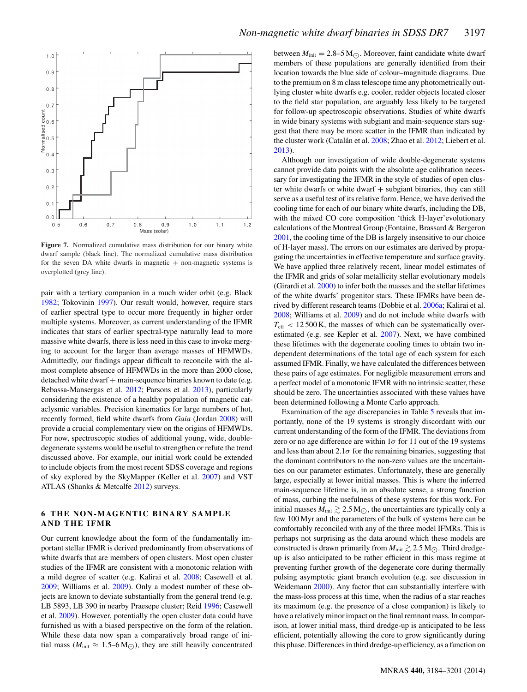<span id="page-13-0"></span>

**Figure 7.** Normalized cumulative mass distribution for our binary white dwarf sample (black line). The normalized cumulative mass distribution for the seven DA white dwarfs in magnetic  $+$  non-magnetic systems is overplotted (grey line).

pair with a tertiary companion in a much wider orbit (e.g. Black [1982;](#page-16-33) Tokovinin [1997\)](#page-17-68). Our result would, however, require stars of earlier spectral type to occur more frequently in higher order multiple systems. Moreover, as current understanding of the IFMR indicates that stars of earlier spectral-type naturally lead to more massive white dwarfs, there is less need in this case to invoke merging to account for the larger than average masses of HFMWDs. Admittedly, our findings appear difficult to reconcile with the almost complete absence of HFMWDs in the more than 2000 close, detached white dwarf + main-sequence binaries known to date (e.g. Rebassa-Mansergas et al. [2012;](#page-17-69) Parsons et al. [2013\)](#page-17-70), particularly considering the existence of a healthy population of magnetic cataclysmic variables. Precision kinematics for large numbers of hot, recently formed, field white dwarfs from *Gaia* (Jordan [2008\)](#page-17-71) will provide a crucial complementary view on the origins of HFMWDs. For now, spectroscopic studies of additional young, wide, doubledegenerate systems would be useful to strengthen or refute the trend discussed above. For example, our initial work could be extended to include objects from the most recent SDSS coverage and regions of sky explored by the SkyMapper (Keller et al. [2007\)](#page-17-72) and VST ATLAS (Shanks & Metcalfe [2012\)](#page-17-73) surveys.

# **6 THE NON-MAGENTIC BINARY SAMPLE AND THE IFMR**

Our current knowledge about the form of the fundamentally important stellar IFMR is derived predominantly from observations of white dwarfs that are members of open clusters. Most open cluster studies of the IFMR are consistent with a monotonic relation with a mild degree of scatter (e.g. Kalirai et al. [2008;](#page-17-74) Casewell et al. [2009;](#page-16-5) Williams et al. [2009\)](#page-17-55). Only a modest number of these objects are known to deviate substantially from the general trend (e.g. LB 5893, LB 390 in nearby Praesepe cluster; Reid [1996;](#page-17-75) Casewell et al. [2009\)](#page-16-5). However, potentially the open cluster data could have furnished us with a biased perspective on the form of the relation. While these data now span a comparatively broad range of initial mass ( $M_{\text{init}} \approx 1.5$ –6 M<sub>( $\odot$ </sub>), they are still heavily concentrated between  $M_{\text{init}} = 2.8 - 5 \text{ M}$ . Moreover, faint candidate white dwarf members of these populations are generally identified from their location towards the blue side of colour–magnitude diagrams. Due to the premium on 8 m class telescope time any photometrically outlying cluster white dwarfs e.g. cooler, redder objects located closer to the field star population, are arguably less likely to be targeted for follow-up spectroscopic observations. Studies of white dwarfs in wide binary systems with subgiant and main-sequence stars suggest that there may be more scatter in the IFMR than indicated by the cluster work (Catalán et al. [2008;](#page-16-34) Zhao et al. [2012;](#page-17-76) Liebert et al. [2013\)](#page-17-77).

Although our investigation of wide double-degenerate systems cannot provide data points with the absolute age calibration necessary for investigating the IFMR in the style of studies of open cluster white dwarfs or white dwarf  $+$  subgiant binaries, they can still serve as a useful test of its relative form. Hence, we have derived the cooling time for each of our binary white dwarfs, including the DB, with the mixed CO core composition 'thick H-layer'evolutionary calculations of the Montreal Group (Fontaine, Brassard & Bergeron [2001,](#page-16-35) the cooling time of the DB is largely insensitive to our choice of H-layer mass). The errors on our estimates are derived by propagating the uncertainties in effective temperature and surface gravity. We have applied three relatively recent, linear model estimates of the IFMR and grids of solar metallicity stellar evolutionary models (Girardi et al. [2000\)](#page-17-64) to infer both the masses and the stellar lifetimes of the white dwarfs' progenitor stars. These IFMRs have been derived by different research teams (Dobbie et al. [2006a;](#page-16-36) Kalirai et al. [2008;](#page-17-74) Williams et al. [2009\)](#page-17-55) and do not include white dwarfs with  $T_{\text{eff}}$  < 12 500 K, the masses of which can be systematically overestimated (e.g. see Kepler et al. [2007\)](#page-17-33). Next, we have combined these lifetimes with the degenerate cooling times to obtain two independent determinations of the total age of each system for each assumed IFMR. Finally, we have calculated the differences between these pairs of age estimates. For negligible measurement errors and a perfect model of a monotonic IFMR with no intrinsic scatter, these should be zero. The uncertainties associated with these values have been determined following a Monte Carlo approach.

Examination of the age discrepancies in Table [5](#page-14-0) reveals that importantly, none of the 19 systems is strongly discordant with our current understanding of the form of the IFMR. The deviations from zero or no age difference are within  $1\sigma$  for 11 out of the 19 systems and less than about  $2.1\sigma$  for the remaining binaries, suggesting that the dominant contributors to the non-zero values are the uncertainties on our parameter estimates. Unfortunately, these are generally large, especially at lower initial masses. This is where the inferred main-sequence lifetime is, in an absolute sense, a strong function of mass, curbing the usefulness of these systems for this work. For initial masses  $M_{\text{init}} \gtrsim 2.5 \text{ M}_{\odot}$ , the uncertainties are typically only a few 100 Myr and the parameters of the bulk of systems here can be comfortably reconciled with any of the three model IFMRs. This is perhaps not surprising as the data around which these models are constructed is drawn primarily from  $M_{\text{init}} \gtrsim 2.5 \text{ M}_{\odot}$ . Third dredgeup is also anticipated to be rather efficient in this mass regime at preventing further growth of the degenerate core during thermally pulsing asymptotic giant branch evolution (e.g. see discussion in Weidemann [2000\)](#page-17-78). Any factor that can substantially interfere with the mass-loss process at this time, when the radius of a star reaches its maximum (e.g. the presence of a close companion) is likely to have a relatively minor impact on the final remnant mass. In comparison, at lower initial mass, third dredge-up is anticipated to be less efficient, potentially allowing the core to grow significantly during this phase. Differences in third dredge-up efficiency, as a function on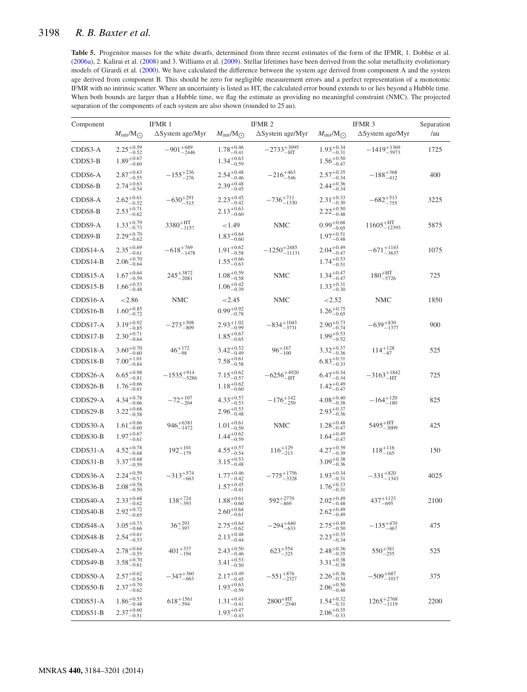# <span id="page-14-0"></span>3198 *R. B. Baxter et al.*

Table 5. Progenitor masses for the white dwarfs, determined from three recent estimates of the form of the IFMR, 1. Dobbie et al. [\(2006a\)](#page-16-36), 2. Kalirai et al. [\(2008\)](#page-17-74) and 3. Williams et al. [\(2009\)](#page-17-55). Stellar lifetimes have been derived from the solar metallicity evolutionary models of Girardi et al. [\(2000\)](#page-17-64). We have calculated the difference between the system age derived from component A and the system age derived from component B. This should be zero for negligible measurement errors and a perfect representation of a monotonic IFMR with no intrinsic scatter. Where an uncertainty is listed as HT, the calculated error bound extends to or lies beyond a Hubble time. When both bounds are larger than a Hubble time, we flag the estimate as providing no meaningful constraint (NMC). The projected separation of the components of each system are also shown (rounded to 25 au).

| Component                |                                                             | IFMR 1                   |                                                                      | IFMR <sub>2</sub>          |                                                             | IFMR 3                   | Separation |
|--------------------------|-------------------------------------------------------------|--------------------------|----------------------------------------------------------------------|----------------------------|-------------------------------------------------------------|--------------------------|------------|
|                          | $M_{init}/M_{\odot}$                                        | $\Delta S$ ystem age/Myr | $M_{\text{init}}/M_{\bigodot}$                                       | $\Delta S$ ystem age/Myr   | $M_{init}/M_{\odot}$                                        | $\Delta S$ ystem age/Myr | /au        |
| CDDS3-A<br>CDDS3-B       | $2.25^{+0.59}_{-0.52}$<br>$1.89^{+0.67}_{-0.60}$            | $-901^{+689}_{-2446}$    | $1.78^{+0.46}_{-0.41}$<br>$1.34_{-0.59}^{+0.63}$                     | $-2733^{+3095}_{-HT}$      | $1.93^{+0.34}_{-0.31}$<br>$1.56^{+0.50}_{-0.47}$            | $-1419^{+1369}_{-5973}$  | 1725       |
| CDDS6-A<br>CDDS6-B       | $2.87^{+0.63}_{-0.55}$<br>$2.74^{+0.63}_{-0.54}$            | $-155^{+236}_{-276}$     | $2.54\substack{+0.48 \\ -0.46}$<br>$2.39^{+0.48}$<br>$-0.45$         | $-216^{+463}_{-546}$       | $2.57^{+0.35}_{-0.34}$<br>$2.44^{+0.36}_{-0.34}$            | $-188^{+368}_{-412}$     | 400        |
| CDDS8-A<br>CDDS8-B       | $2.62^{+0.61}_{-0.52}$<br>$2.53_{-0.62}^{+0.71}$            | $-630^{+291}_{-515}$     | $2.23_{-0.42}^{+0.45}$<br>$2.13^{+0.63}_{-0.60}$                     | $-736^{+711}_{-1330}$      | $2.31_{-0.30}^{+0.33}$<br>$2.22^{+0.50}_{-0.48}$            | $-682^{+513}_{-755}$     | 3225       |
| CDDS9-A<br>CDDS9-B       | $1.33_{-0.73}^{+0.79}$<br>$2.29^{+0.70}_{-0.70}$<br>$-0.62$ | $3380^{+HT}_{-3157}$     | < 1.49<br>$1.83^{+0.64}_{-0.60}$                                     | NMC                        | $0.99^{+0.68}_{-0.65}$<br>$1.97^{+0.51}_{-0.48}$            | $11605^{+HT}_{-12393}$   | 5875       |
| CDDS14-A<br>$CDDS14-B$   | $2.35^{+0.69}_{-0.61}$<br>$2.06^{+0.70}_{-0.64}$            | $-618^{+769}_{-1478}$    | $1.91 \substack{+0.62 \\ -0.58}$<br>$1.55^{+0.66}_{-0.63}$           | $-1250^{+2485}_{-11131}$   | $2.04^{+0.49}_{-0.47}$<br>$1.74^{+0.53}_{-0.51}$            | $-671_{-3637}^{+1143}$   | 1075       |
| $CDDS15-A$<br>$CDDS15-B$ | $1.67^{+0.64}_{-0.59}$<br>$1.66^{+0.53}_{-0.48}$            | $245 + 3872$<br>$-2081$  | $1.08^{+0.59}_{-0.58}\,$<br>$1.06^{+0.42}_{-0.39}$                   | NMC                        | $1.34^{+0.47}_{-0.47}$<br>$1.33_{-0.30}^{+0.31}$            | $180^{+HT}_{-5726}$      | 725        |
| $CDDS16-A$<br>$CDDS16-B$ | < 2.86<br>$1.60^{+0.85}_{-0.72}$                            | NMC                      | < 2.45<br>$0.99_{-0.78}^{+0.92}$                                     | NMC                        | ${<}2.52$<br>$1.26^{+0.75}_{-0.65}$                         | NMC                      | 1850       |
| CDDS17-A<br>$CDDS17-B$   | $3.19^{+0.92}_{-0.85}$<br>$2.30^{+0.71}_{-0.64}$            | $-273^{+508}_{-809}$     | $2.93^{+1.02}_{-0.99}$<br>$1.85^{+0.67}_{-0.65}$                     | $-834_{-3731}^{+1043}$     | $2.90^{+0.73}_{-0.74}$<br>$1.99^{+0.53}_{-0.52}$            | $-639^{+830}_{-1377}$    | 900        |
| CDDS18-A<br>$CDDS18-B$   | $3.60\substack{+0.70 \\ -0.60}$<br>$7.00_{-0.84}^{+1.01}$   | $46^{+172}_{-98}$        | $3.42^{+0.52}_{-0.49}$<br>$7.58^{+0.61}_{-0.58}$                     | $96^{+167}_{-100}$         | $3.32^{+0.37}_{-0.36}$<br>$6.83^{+0.31}_{-0.33}$            | $114^{+128}_{-87}$       | 525        |
| CDDS26-A<br>$CDDS26-B$   | $6.65^{+0.98}_{-0.81}$<br>$1.76^{+0.66}_{-0.61}$            | $-1535^{+914}_{-5286}$   | $7.15^{+0.62}_{-0.57}$<br>$1.18^{+0.62}_{-0.60}$                     | $-6256^{+4920}_{-HT}$      | $6.47^{+0.34}_{-0.34}$<br>$1.42^{+0.49}_{-0.47}$            | $-3163^{+1842}_{-HT}$    | 725        |
| CDDS29-A<br>CDDS29-B     | $4.34^{+0.78}_{-0.66}$<br>$3.22^{+0.68}_{-0.58}$            | $-72^{+107}_{-204}$      | $4.33^{+0.57}_{-0.53}$<br>$2.96^{+0.53}_{-0.48}$                     | $-176^{+142}_{-250}$       | $4.08^{+0.40}_{-0.38}$<br>$2.93^{+0.37}_{-0.36}$            | $-164^{+120}_{-180}$     | 825        |
| CDDS30-A<br>CDDS30-B     | $1.61^{+0.66}_{-0.60}$<br>$1.97^{+0.67}_{-0.61}$            | $946^{+6381}_{-1472}$    | $1.01_{-0.59}^{+0.61}$<br>$1.44^{+0.62}_{-0.59}$                     | NMC                        | $1.28^{+0.48}_{-0.47}$<br>$1.64^{+0.49}_{-0.47}$            | $5495^{+HT}_{-3009}$     | 425        |
| CDDS31-A<br>CDDS31-B     | $4.52^{+0.78}_{-0.68}$<br>$3.37^{+0.68}_{-0.59}$            | $192^{+101}_{-179}$      | $4.55^{+0.57}_{-0.54}$<br>$3.15^{+0.53}_{-0.48}$                     | $116^{+129}_{-213}$        | $4.27^{+0.39}_{-0.39}$<br>$3.09^{+0.38}_{-0.36}$            | $118^{+116}_{-165}$      | 150        |
| CDDS36-A<br>CDDS36-B     | $2.24_{-0.51}^{+0.59}$<br>$2.08\substack{+0.58 \\ -0.50}$   | $-313^{+574}_{-663}$     | $1.77^{+0.46}_{-0.42}$<br>$1.57^{+0.45}_{-0.41}$                     | $-775^{+1756}_{-3328}$     | $1.93_{-0.31}^{+0.34}$<br>$1.76^{+0.33}_{-0.31}$            | $-331^{+820}_{-1343}$    | 4025       |
| CDDS40-A<br>CDDS40-B     | $2.33^{+0.68}_{-0.62}$<br>$2.92^{+0.72}_{-0.72}$<br>$-0.65$ | $138^{+724}_{-393}$      | $1.88^{+0.61}_{-0.60}$<br>$2.60^{+0.64}_{-0.62}$<br>$^{\prime}-0.61$ | $592^{+2770}_{-869}$       | $2.02^{+0.49}_{-0.48}$<br>$2.62^{+0.49}_{-0.62}$<br>$-0.49$ | $437^{+1123}_{-695}$     | 2100       |
| CDDS48-A<br>CDDS48-B     | $3.05^{+0.73}_{-0.66}$<br>$2.54^{+0.61}_{-0.53}$            | $36^{+293}_{-397}$       | $2.75^{+0.64}_{-0.62}$<br>$2.13_{-0.44}^{+0.48}$                     | $-294^{+640}_{-633}$       | $2.75^{+0.49}_{-0.50}$<br>$2.23_{-0.34}^{+0.35}$            | $-135^{+470}_{-467}$     | 475        |
| CDDS49-A<br>CDDS49-B     | $2.78^{+0.64}_{-0.55}$<br>$3.58^{+0.70}_{-0.61}$            | $401^{+337}_{-194}$      | $2.43^{+0.50}_{-0.46}$<br>$3.41^{+0.53}_{-0.50}$                     | $623^{+554}_{-325}$        | $2.48^{+0.36}_{-0.35}$<br>$3.31_{-0.38}^{+0.38}$            | $550^{+381}_{-255}$      | 525        |
| CDDS50-A<br>CDDS50-B     | $2.57^{+0.62}_{-0.54}$<br>$2.37^{+0.70}_{-0.62}$            | $-347^{+360}_{-663}$     | $2.17^{+0.49}_{-0.45}$<br>$1.93^{+0.63}_{-0.59}$                     | $-551^{+876}_{-2327}$      | $2.26_{-0.34}^{+0.36}$<br>$2.06_{-0.48}^{+0.50}$            | $-509^{+687}_{-1017}$    | 375        |
| CDDS51-A<br>$CDDS51-B$   | $1.86^{+0.55}_{-0.48}$<br>$2.37^{+0.60}_{-0.51}$            | $618^{+1561}_{-594}$     | $1.31_{-0.41}^{+0.43}$<br>$1.93^{+0.47}_{-0.43}$                     | $2800^{+{\rm HT}}_{-2540}$ | $1.54^{+0.32}_{-0.31}$<br>$2.06^{+0.35}_{-0.33}$            | $1265_{-1119}^{+2768}$   | 2200       |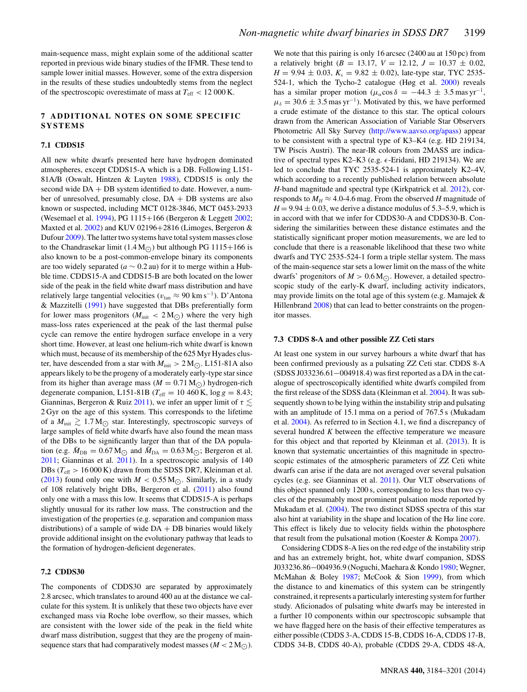main-sequence mass, might explain some of the additional scatter reported in previous wide binary studies of the IFMR. These tend to sample lower initial masses. However, some of the extra dispersion in the results of these studies undoubtedly stems from the neglect of the spectroscopic overestimate of mass at  $T_{\text{eff}} < 12000 \text{ K}.$ 

#### **7 ADDITIONAL NOTES ON SOME SPECIFIC SYSTEMS**

#### **7.1 CDDS15**

All new white dwarfs presented here have hydrogen dominated atmospheres, except CDDS15-A which is a DB. Following L151- 81A/B (Oswalt, Hintzen & Luyten [1988\)](#page-17-79), CDDS15 is only the second wide  $DA + DB$  system identified to date. However, a number of unresolved, presumably close, DA + DB systems are also known or suspected, including MCT 0128-3846, MCT 0453-2933 (Wesemael et al. [1994\)](#page-17-80), PG 1115+166 (Bergeron & Leggett [2002;](#page-16-37) Maxted et al. [2002\)](#page-17-81) and KUV 02196+2816 (Limoges, Bergeron & Dufour [2009\)](#page-17-82). The latter two systems have total system masses close to the Chandrasekar limit  $(1.4 M_{\odot})$  but although PG 1115+166 is also known to be a post-common-envelope binary its components are too widely separated ( $a \sim 0.2$  au) for it to merge within a Hubble time. CDDS15-A and CDDS15-B are both located on the lower side of the peak in the field white dwarf mass distribution and have relatively large tangential velocities ( $v_{tan}$  ≈ 90 km s<sup>-1</sup>). D'Antona & Mazzitelli [\(1991\)](#page-16-38) have suggested that DBs preferentially form for lower mass progenitors ( $M_{\text{init}} < 2 \,\text{M}_{\odot}$ ) where the very high mass-loss rates experienced at the peak of the last thermal pulse cycle can remove the entire hydrogen surface envelope in a very short time. However, at least one helium-rich white dwarf is known which must, because of its membership of the 625 Myr Hyades cluster, have descended from a star with  $M_{\text{init}} > 2 M_{\odot}$ . L151-81A also appears likely to be the progeny of a moderately early-type star since from its higher than average mass ( $M = 0.71 M_{\odot}$ ) hydrogen-rich degenerate companion, L151-81B ( $T_{\text{eff}} = 10\,460 \,\text{K}$ , log  $g = 8.43$ ; Gianninas, Bergeron & Ruiz [2011\)](#page-16-39), we infer an upper limit of  $\tau \lesssim$ 2 Gyr on the age of this system. This corresponds to the lifetime of a  $M_{\text{init}} \gtrsim 1.7 M_{\odot}$  star. Interestingly, spectroscopic surveys of large samples of field white dwarfs have also found the mean mass of the DBs to be significantly larger than that of the DA population (e.g.  $\bar{M}_{\text{DB}} = 0.67 \,\text{M}_{\odot}$  and  $\bar{M}_{\text{DA}} = 0.63 \,\text{M}_{\odot}$ ; Bergeron et al. [2011;](#page-16-14) Gianninas et al. [2011\)](#page-16-39). In a spectroscopic analysis of 140 DBs ( $T_{\text{eff}} > 16000 \text{ K}$ ) drawn from the SDSS DR7, Kleinman et al. [\(2013\)](#page-17-23) found only one with  $M < 0.55 M_{\odot}$ . Similarly, in a study of 108 relatively bright DBs, Bergeron et al. [\(2011\)](#page-16-14) also found only one with a mass this low. It seems that CDDS15-A is perhaps slightly unusual for its rather low mass. The construction and the investigation of the properties (e.g. separation and companion mass distributions) of a sample of wide  $DA + DB$  binaries would likely provide additional insight on the evolutionary pathway that leads to the formation of hydrogen-deficient degenerates.

# **7.2 CDDS30**

The components of CDDS30 are separated by approximately 2.8 arcsec, which translates to around 400 au at the distance we calculate for this system. It is unlikely that these two objects have ever exchanged mass via Roche lobe overflow, so their masses, which are consistent with the lower side of the peak in the field white dwarf mass distribution, suggest that they are the progeny of mainsequence stars that had comparatively modest masses  $(M < 2 M_{\odot})$ .

We note that this pairing is only 16 arcsec (2400 au at 150 pc) from a relatively bright ( $B = 13.17$ ,  $V = 12.12$ ,  $J = 10.37 \pm 0.02$ ,  $H = 9.94 \pm 0.03$ ,  $K_s = 9.82 \pm 0.02$ ), late-type star, TYC 2535-524-1, which the Tycho-2 catalogue (Høg et al. [2000\)](#page-17-83) reveals has a similar proper motion ( $\mu_{\alpha}$ cos  $\delta = -44.3 \pm 3.5$  mas yr<sup>-1</sup>,  $\mu_{\delta} = 30.6 \pm 3.5$  mas yr<sup>-1</sup>). Motivated by this, we have performed a crude estimate of the distance to this star. The optical colours drawn from the American Association of Variable Star Observers Photometric All Sky Survey [\(http://www.aavso.org/apass\)](http://www.aavso.org/apass)) appear to be consistent with a spectral type of K3–K4 (e.g. HD 219134, TW Piscis Austri). The near-IR colours from 2MASS are indicative of spectral types K2–K3 (e.g.  $\epsilon$ -Eridani, HD 219134). We are led to conclude that TYC 2535-524-1 is approximately K2–4V, which according to a recently published relation between absolute *H*-band magnitude and spectral type (Kirkpatrick et al. [2012\)](#page-17-84), corresponds to  $M_H \approx 4.0$ -4.6 mag. From the observed *H* magnitude of  $H = 9.94 \pm 0.03$ , we derive a distance modulus of 5.3–5.9, which is in accord with that we infer for CDDS30-A and CDDS30-B. Considering the similarities between these distance estimates and the statistically significant proper motion measurements, we are led to conclude that there is a reasonable likelihood that these two white dwarfs and TYC 2535-524-1 form a triple stellar system. The mass of the main-sequence star sets a lower limit on the mass of the white dwarfs' progenitors of  $M > 0.6 M_{\odot}$ . However, a detailed spectroscopic study of the early-K dwarf, including activity indicators, may provide limits on the total age of this system (e.g. Mamajek & Hillenbrand [2008\)](#page-17-85) that can lead to better constraints on the progenitor masses.

#### **7.3 CDDS 8-A and other possible ZZ Ceti stars**

At least one system in our survey harbours a white dwarf that has been confirmed previously as a pulsating ZZ Ceti star. CDDS 8-A (SDSS J033236.61−004918.4) was first reported as a DA in the catalogue of spectroscopically identified white dwarfs compiled from the first release of the SDSS data (Kleinman et al. [2004\)](#page-17-86). It was subsequently shown to be lying within the instability strip and pulsating with an amplitude of 15.1 mma on a period of 767.5 s (Mukadam et al. [2004\)](#page-17-87). As referred to in Section 4.1, we find a discrepancy of several hundred *K* between the effective temperature we measure for this object and that reported by Kleinman et al. [\(2013\)](#page-17-23). It is known that systematic uncertainties of this magnitude in spectroscopic estimates of the atmospheric parameters of ZZ Ceti white dwarfs can arise if the data are not averaged over several pulsation cycles (e.g. see Gianninas et al. [2011\)](#page-16-39). Our VLT observations of this object spanned only 1200 s, corresponding to less than two cycles of the presumably most prominent pulsation mode reported by Mukadam et al. [\(2004\)](#page-17-87). The two distinct SDSS spectra of this star also hint at variability in the shape and location of the  $H\alpha$  line core. This effect is likely due to velocity fields within the photosphere that result from the pulsational motion (Koester & Kompa [2007\)](#page-17-88).

Considering CDDS 8-A lies on the red edge of the instability strip and has an extremely bright, hot, white dwarf companion, SDSS J033236.86−004936.9 (Noguchi, Maehara & Kondo [1980;](#page-17-89) Wegner, McMahan & Boley [1987;](#page-17-90) McCook & Sion [1999\)](#page-17-91), from which the distance to and kinematics of this system can be stringently constrained, it represents a particularly interesting system for further study. Aficionados of pulsating white dwarfs may be interested in a further 10 components within our spectroscopic subsample that we have flagged here on the basis of their effective temperatures as either possible (CDDS 3-A, CDDS 15-B, CDDS 16-A, CDDS 17-B, CDDS 34-B, CDDS 40-A), probable (CDDS 29-A, CDDS 48-A,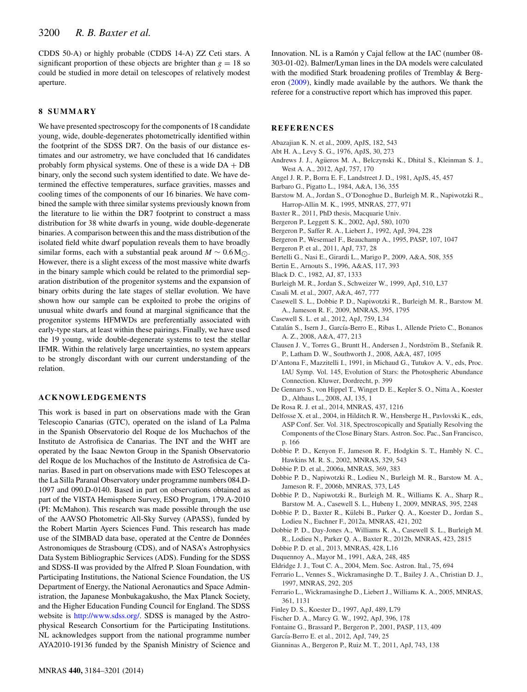CDDS 50-A) or highly probable (CDDS 14-A) ZZ Ceti stars. A significant proportion of these objects are brighter than  $g = 18$  so could be studied in more detail on telescopes of relatively modest aperture.

# **8 SUMMARY**

We have presented spectroscopy for the components of 18 candidate young, wide, double-degenerates photometrically identified within the footprint of the SDSS DR7. On the basis of our distance estimates and our astrometry, we have concluded that 16 candidates probably form physical systems. One of these is a wide  $DA + DB$ binary, only the second such system identified to date. We have determined the effective temperatures, surface gravities, masses and cooling times of the components of our 16 binaries. We have combined the sample with three similar systems previously known from the literature to lie within the DR7 footprint to construct a mass distribution for 38 white dwarfs in young, wide double-degenerate binaries. A comparison between this and the mass distribution of the isolated field white dwarf population reveals them to have broadly similar forms, each with a substantial peak around  $M \sim 0.6 M_{\odot}$ . However, there is a slight excess of the most massive white dwarfs in the binary sample which could be related to the primordial separation distribution of the progenitor systems and the expansion of binary orbits during the late stages of stellar evolution. We have shown how our sample can be exploited to probe the origins of unusual white dwarfs and found at marginal significance that the progenitor systems HFMWDs are preferentially associated with early-type stars, at least within these pairings. Finally, we have used the 19 young, wide double-degenerate systems to test the stellar IFMR. Within the relatively large uncertainties, no system appears to be strongly discordant with our current understanding of the relation.

#### **ACKNOWLEDGEMENTS**

This work is based in part on observations made with the Gran Telescopio Canarias (GTC), operated on the island of La Palma in the Spanish Observatorio del Roque de los Muchachos of the Instituto de Astrofisica de Canarias. The INT and the WHT are operated by the Isaac Newton Group in the Spanish Observatorio del Roque de los Muchachos of the Instituto de Astrofisica de Canarias. Based in part on observations made with ESO Telescopes at the La Silla Paranal Observatory under programme numbers 084.D-1097 and 090.D-0140. Based in part on observations obtained as part of the VISTA Hemisphere Survey, ESO Program, 179.A-2010 (PI: McMahon). This research was made possible through the use of the AAVSO Photometric All-Sky Survey (APASS), funded by the Robert Martin Ayers Sciences Fund. This research has made use of the SIMBAD data base, operated at the Centre de Données Astronomiques de Strasbourg (CDS), and of NASA's Astrophysics Data System Bibliographic Services (ADS). Funding for the SDSS and SDSS-II was provided by the Alfred P. Sloan Foundation, with Participating Institutions, the National Science Foundation, the US Department of Energy, the National Aeronautics and Space Administration, the Japanese Monbukagakusho, the Max Planck Society, and the Higher Education Funding Council for England. The SDSS website is [http://www.sdss.org/.](http://www.sdss.org/) SDSS is managed by the Astrophysical Research Consortium for the Participating Institutions. NL acknowledges support from the national programme number AYA2010-19136 funded by the Spanish Ministry of Science and

Innovation. NL is a Ramón y Cajal fellow at the IAC (number 08-303-01-02). Balmer/Lyman lines in the DA models were calculated with the modified Stark broadening profiles of Tremblay & Bergeron [\(2009\)](#page-17-26), kindly made available by the authors. We thank the referee for a constructive report which has improved this paper.

#### **REFERENCES**

- <span id="page-16-11"></span>Abazajian K. N. et al., 2009, ApJS, 182, 543
- <span id="page-16-28"></span>Abt H. A., Levy S. G., 1976, ApJS, 30, 273
- <span id="page-16-3"></span>Andrews J. J., Agueros M. A., Belczynski K., Dhital S., Kleinman S. J., ¨ West A. A., 2012, ApJ, 757, 170
- <span id="page-16-31"></span>Angel J. R. P., Borra E. F., Landstreet J. D., 1981, ApJS, 45, 457
- <span id="page-16-4"></span>Barbaro G., Pigatto L., 1984, A&A, 136, 355
- <span id="page-16-25"></span>Barstow M. A., Jordan S., O'Donoghue D., Burleigh M. R., Napiwotzki R., Harrop-Allin M. K., 1995, MNRAS, 277, 971
- <span id="page-16-12"></span>Baxter R., 2011, PhD thesis, Macquarie Univ.
- <span id="page-16-37"></span>Bergeron P., Leggett S. K., 2002, ApJ, 580, 1070
- <span id="page-16-30"></span>Bergeron P., Saffer R. A., Liebert J., 1992, ApJ, 394, 228
- <span id="page-16-15"></span>Bergeron P., Wesemael F., Beauchamp A., 1995, PASP, 107, 1047
- <span id="page-16-14"></span>Bergeron P. et al., 2011, ApJ, 737, 28
- <span id="page-16-22"></span>Bertelli G., Nasi E., Girardi L., Marigo P., 2009, A&A, 508, 355
- <span id="page-16-16"></span>Bertin E., Arnouts S., 1996, A&AS, 117, 393
- <span id="page-16-33"></span>Black D. C., 1982, AJ, 87, 1333
- <span id="page-16-27"></span>Burleigh M. R., Jordan S., Schweizer W., 1999, ApJ, 510, L37
- <span id="page-16-17"></span>Casali M. et al., 2007, A&A, 467, 777
- <span id="page-16-5"></span>Casewell S. L., Dobbie P. D., Napiwotzki R., Burleigh M. R., Barstow M. A., Jameson R. F., 2009, MNRAS, 395, 1795
- <span id="page-16-6"></span>Casewell S. L. et al., 2012, ApJ, 759, L34
- <span id="page-16-34"></span>Catalán S., Isern J., García-Berro E., Ribas I., Allende Prieto C., Bonanos A. Z., 2008, A&A, 477, 213
- <span id="page-16-2"></span>Clausen J. V., Torres G., Bruntt H., Andersen J., Nordström B., Stefanik R. P., Latham D. W., Southworth J., 2008, A&A, 487, 1095
- <span id="page-16-38"></span>D'Antona F., Mazzitelli I., 1991, in Michaud G., Tutukov A. V., eds, Proc. IAU Symp. Vol. 145, Evolution of Stars: the Photospheric Abundance Connection. Kluwer, Dordrecht, p. 399
- <span id="page-16-19"></span>De Gennaro S., von Hippel T., Winget D. E., Kepler S. O., Nitta A., Koester D., Althaus L., 2008, AJ, 135, 1
- <span id="page-16-29"></span>De Rosa R. J. et al., 2014, MNRAS, 437, 1216
- <span id="page-16-7"></span>Delfosse X. et al., 2004, in Hilditch R. W., Hensberge H., Pavlovski K., eds, ASP Conf. Ser. Vol. 318, Spectroscopically and Spatially Resolving the Components of the Close Binary Stars. Astron. Soc. Pac., San Francisco, p. 166
- <span id="page-16-18"></span>Dobbie P. D., Kenyon F., Jameson R. F., Hodgkin S. T., Hambly N. C., Hawkins M. R. S., 2002, MNRAS, 329, 543
- <span id="page-16-36"></span>Dobbie P. D. et al., 2006a, MNRAS, 369, 383
- <span id="page-16-23"></span>Dobbie P. D., Napiwotzki R., Lodieu N., Burleigh M. R., Barstow M. A., Jameson R. F., 2006b, MNRAS, 373, L45
- <span id="page-16-13"></span>Dobbie P. D., Napiwotzki R., Burleigh M. R., Williams K. A., Sharp R., Barstow M. A., Casewell S. L., Hubeny I., 2009, MNRAS, 395, 2248
- <span id="page-16-9"></span>Dobbie P. D., Baxter R., Kulebi B., Parker Q. A., Koester D., Jordan S., ¨ Lodieu N., Euchner F., 2012a, MNRAS, 421, 202
- <span id="page-16-24"></span>Dobbie P. D., Day-Jones A., Williams K. A., Casewell S. L., Burleigh M. R., Lodieu N., Parker Q. A., Baxter R., 2012b, MNRAS, 423, 2815
- <span id="page-16-10"></span>Dobbie P. D. et al., 2013, MNRAS, 428, L16
- <span id="page-16-0"></span>Duquennoy A., Mayor M., 1991, A&A, 248, 485
- <span id="page-16-21"></span>Eldridge J. J., Tout C. A., 2004, Mem. Soc. Astron. Ital., 75, 694
- <span id="page-16-26"></span>Ferrario L., Vennes S., Wickramasinghe D. T., Bailey J. A., Christian D. J., 1997, MNRAS, 292, 205
- <span id="page-16-20"></span>Ferrario L., Wickramasinghe D., Liebert J., Williams K. A., 2005, MNRAS, 361, 1131
- <span id="page-16-8"></span>Finley D. S., Koester D., 1997, ApJ, 489, L79
- <span id="page-16-1"></span>Fischer D. A., Marcy G. W., 1992, ApJ, 396, 178
- <span id="page-16-35"></span>Fontaine G., Brassard P., Bergeron P., 2001, PASP, 113, 409
- <span id="page-16-32"></span>García-Berro E. et al., 2012, ApJ, 749, 25
- <span id="page-16-39"></span>Gianninas A., Bergeron P., Ruiz M. T., 2011, ApJ, 743, 138